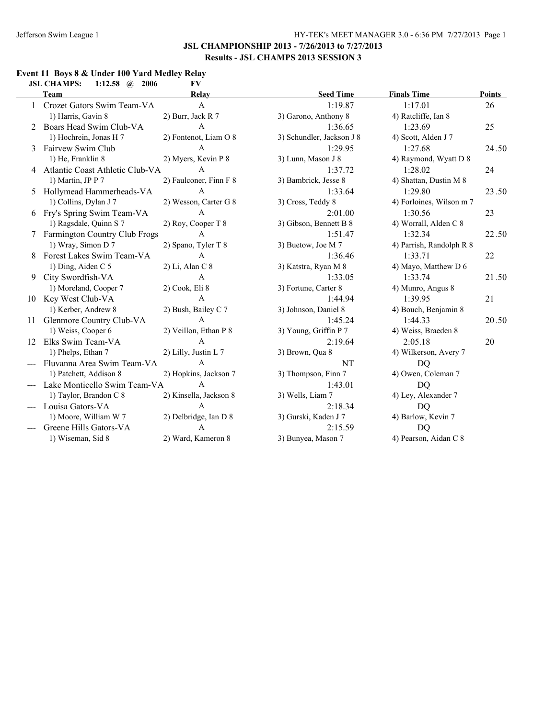#### **Event 11 Boys 8 & Under 100 Yard Medley Relay JSL CHAMPS: 1:12.58 @ 2006 FV**

|    | Team                                 | Relay                  | <b>Seed Time</b>          | <b>Finals Time</b>       | <b>Points</b> |
|----|--------------------------------------|------------------------|---------------------------|--------------------------|---------------|
|    | 1 Crozet Gators Swim Team-VA         | $\mathsf{A}$           | 1:19.87                   | 1:17.01                  | 26            |
|    | 1) Harris, Gavin 8                   | 2) Burr, Jack R 7      | 3) Garono, Anthony 8      | 4) Ratcliffe, Ian 8      |               |
|    | 2 Boars Head Swim Club-VA            | $\mathsf{A}$           | 1:36.65                   | 1:23.69                  | 25            |
|    | 1) Hochrein, Jonas H 7               | 2) Fontenot, Liam O 8  | 3) Schundler, Jackson J 8 | 4) Scott, Alden J 7      |               |
| 3  | Fairvew Swim Club                    | $\mathbf{A}$           | 1:29.95                   | 1:27.68                  | 24.50         |
|    | 1) He, Franklin 8                    | 2) Myers, Kevin P 8    | 3) Lunn, Mason J 8        | 4) Raymond, Wyatt D 8    |               |
|    | 4 Atlantic Coast Athletic Club-VA    | $\mathbf{A}$           | 1:37.72                   | 1:28.02                  | 24            |
|    | 1) Martin, JP P 7                    | 2) Faulconer, Finn F 8 | 3) Bambrick, Jesse 8      | 4) Shattan, Dustin M 8   |               |
| 5. | Hollymead Hammerheads-VA             | $\mathbf{A}$           | 1:33.64                   | 1:29.80                  | 23.50         |
|    | 1) Collins, Dylan J 7                | 2) Wesson, Carter G 8  | 3) Cross, Teddy 8         | 4) Forloines, Wilson m 7 |               |
|    | 6 Fry's Spring Swim Team-VA          | $\mathbf{A}$           | 2:01.00                   | 1:30.56                  | 23            |
|    | 1) Ragsdale, Quinn S 7               | 2) Roy, Cooper T 8     | 3) Gibson, Bennett B 8    | 4) Worrall, Alden C 8    |               |
|    | <b>Farmington Country Club Frogs</b> | $\mathsf{A}$           | 1:51.47                   | 1:32.34                  | 22.50         |
|    | 1) Wray, Simon D 7                   | 2) Spano, Tyler T 8    | 3) Buetow, Joe M 7        | 4) Parrish, Randolph R 8 |               |
|    | Forest Lakes Swim Team-VA            | $\mathsf{A}$           | 1:36.46                   | 1:33.71                  | 22            |
|    | 1) Ding, Aiden C 5                   | 2) Li, Alan C 8        | 3) Katstra, Ryan M 8      | 4) Mayo, Matthew D 6     |               |
| 9  | City Swordfish-VA                    | $\mathbf{A}$           | 1:33.05                   | 1:33.74                  | 21.50         |
|    | 1) Moreland, Cooper 7                | 2) Cook, Eli 8         | 3) Fortune, Carter 8      | 4) Munro, Angus 8        |               |
|    | 10 Key West Club-VA                  | $\mathbf{A}$           | 1:44.94                   | 1:39.95                  | 21            |
|    | 1) Kerber, Andrew 8                  | 2) Bush, Bailey C 7    | 3) Johnson, Daniel 8      | 4) Bouch, Benjamin 8     |               |
| 11 | Glenmore Country Club-VA             | $\mathsf{A}$           | 1:45.24                   | 1:44.33                  | 20.50         |
|    | 1) Weiss, Cooper 6                   | 2) Veillon, Ethan P 8  | 3) Young, Griffin P 7     | 4) Weiss, Braeden 8      |               |
|    | 12 Elks Swim Team-VA                 | $\overline{A}$         | 2:19.64                   | 2:05.18                  | 20            |
|    | 1) Phelps, Ethan 7                   | 2) Lilly, Justin L 7   | 3) Brown, Qua 8           | 4) Wilkerson, Avery 7    |               |
|    | Fluvanna Area Swim Team-VA           | $\mathbf{A}$           | NT                        | <b>DQ</b>                |               |
|    | 1) Patchett, Addison 8               | 2) Hopkins, Jackson 7  | 3) Thompson, Finn 7       | 4) Owen, Coleman 7       |               |
|    | Lake Monticello Swim Team-VA         | $\mathbf{A}$           | 1:43.01                   | <b>DQ</b>                |               |
|    | 1) Taylor, Brandon C 8               | 2) Kinsella, Jackson 8 | 3) Wells, Liam 7          | 4) Ley, Alexander 7      |               |
|    | Louisa Gators-VA                     | A                      | 2:18.34                   | D <sub>O</sub>           |               |
|    | 1) Moore, William W 7                | 2) Delbridge, Ian D 8  | 3) Gurski, Kaden J 7      | 4) Barlow, Kevin 7       |               |
|    | Greene Hills Gators-VA               | A                      | 2:15.59                   | <b>DQ</b>                |               |
|    | 1) Wiseman, Sid 8                    | 2) Ward, Kameron 8     | 3) Bunyea, Mason 7        | 4) Pearson, Aidan C 8    |               |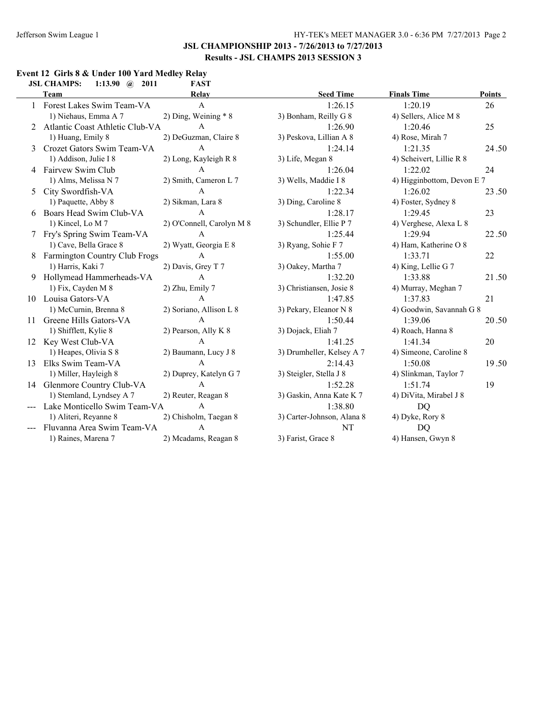#### **Event 12 Girls 8 & Under 100 Yard Medley Relay<br>
ISL CHAMPS:** 1:13.90 @ 2011 **EAST JSL CHAMPS: 1:13.90 @ 2011**

|    | ЈЭГ СПАМП Э.<br>1.13.70 $\langle u \rangle$ 4011 | L'AJ L                    |                            |                            |        |
|----|--------------------------------------------------|---------------------------|----------------------------|----------------------------|--------|
|    | <b>Team</b>                                      | Relay                     | <b>Seed Time</b>           | <b>Finals Time</b>         | Points |
|    | Forest Lakes Swim Team-VA                        | $\mathbf{A}$              | 1:26.15                    | 1:20.19                    | 26     |
|    | 1) Niehaus, Emma A 7                             | 2) Ding, Weining * 8      | 3) Bonham, Reilly G 8      | 4) Sellers, Alice M 8      |        |
|    | 2 Atlantic Coast Athletic Club-VA                | $\mathbf{A}$              | 1:26.90                    | 1:20.46                    | 25     |
|    | 1) Huang, Emily 8                                | 2) DeGuzman, Claire 8     | 3) Peskova, Lillian A 8    | 4) Rose, Mirah 7           |        |
| 3  | Crozet Gators Swim Team-VA                       | $\mathsf{A}$              | 1:24.14                    | 1:21.35                    | 24.50  |
|    | 1) Addison, Julie I 8                            | 2) Long, Kayleigh R 8     | 3) Life, Megan 8           | 4) Scheivert, Lillie R 8   |        |
|    | 4 Fairvew Swim Club                              | A                         | 1:26.04                    | 1:22.02                    | 24     |
|    | 1) Alms, Melissa N 7                             | 2) Smith, Cameron L 7     | 3) Wells, Maddie I 8       | 4) Higginbottom, Devon E 7 |        |
| 5  | City Swordfish-VA                                | $\mathbf{A}$              | 1:22.34                    | 1:26.02                    | 23.50  |
|    | 1) Paquette, Abby 8                              | 2) Sikman, Lara 8         | 3) Ding, Caroline 8        | 4) Foster, Sydney 8        |        |
| 6  | Boars Head Swim Club-VA                          | $\mathbf{A}$              | 1:28.17                    | 1:29.45                    | 23     |
|    | 1) Kincel, Lo M 7                                | 2) O'Connell, Carolyn M 8 | 3) Schundler, Ellie P 7    | 4) Verghese, Alexa L 8     |        |
|    | Fry's Spring Swim Team-VA                        | $\mathsf{A}$              | 1:25.44                    | 1:29.94                    | 22.50  |
|    | 1) Cave, Bella Grace 8                           | 2) Wyatt, Georgia E 8     | 3) Ryang, Sohie F 7        | 4) Ham, Katherine O 8      |        |
|    | Farmington Country Club Frogs                    | A                         | 1:55.00                    | 1:33.71                    | 22     |
|    | 1) Harris, Kaki 7                                | 2) Davis, Grey T 7        | 3) Oakey, Martha 7         | 4) King, Lellie G 7        |        |
|    | 9 Hollymead Hammerheads-VA                       | $\mathbf{A}$              | 1:32.20                    | 1:33.88                    | 21.50  |
|    | 1) Fix, Cayden M 8                               | 2) Zhu, Emily 7           | 3) Christiansen, Josie 8   | 4) Murray, Meghan 7        |        |
| 10 | Louisa Gators-VA                                 | $\mathbf{A}$              | 1:47.85                    | 1:37.83                    | 21     |
|    | 1) McCurnin, Brenna 8                            | 2) Soriano, Allison L 8   | 3) Pekary, Eleanor N 8     | 4) Goodwin, Savannah G 8   |        |
| 11 | Greene Hills Gators-VA                           | $\mathbf{A}$              | 1:50.44                    | 1:39.06                    | 20.50  |
|    | 1) Shifflett, Kylie 8                            | 2) Pearson, Ally K 8      | 3) Dojack, Eliah 7         | 4) Roach, Hanna 8          |        |
| 12 | Key West Club-VA                                 | $\mathbf{A}$              | 1:41.25                    | 1:41.34                    | 20     |
|    | 1) Heapes, Olivia S 8                            | 2) Baumann, Lucy J 8      | 3) Drumheller, Kelsey A 7  | 4) Simeone, Caroline 8     |        |
| 13 | Elks Swim Team-VA                                | $\mathsf{A}$              | 2:14.43                    | 1:50.08                    | 19.50  |
|    | 1) Miller, Hayleigh 8                            | 2) Duprey, Katelyn G 7    | 3) Steigler, Stella J 8    | 4) Slinkman, Taylor 7      |        |
|    | 14 Glenmore Country Club-VA                      | $\mathbf{A}$              | 1:52.28                    | 1:51.74                    | 19     |
|    | 1) Stemland, Lyndsey A 7                         | 2) Reuter, Reagan 8       | 3) Gaskin, Anna Kate K 7   | 4) DiVita, Mirabel J 8     |        |
|    | Lake Monticello Swim Team-VA                     | $\mathbf{A}$              | 1:38.80                    | DQ                         |        |
|    | 1) Aliteri, Reyanne 8                            | 2) Chisholm, Taegan 8     | 3) Carter-Johnson, Alana 8 | 4) Dyke, Rory 8            |        |
|    | Fluvanna Area Swim Team-VA                       | $\mathsf{A}$              | <b>NT</b>                  | <b>DQ</b>                  |        |
|    | 1) Raines, Marena 7                              | 2) Mcadams, Reagan 8      | 3) Farist, Grace 8         | 4) Hansen, Gwyn 8          |        |
|    |                                                  |                           |                            |                            |        |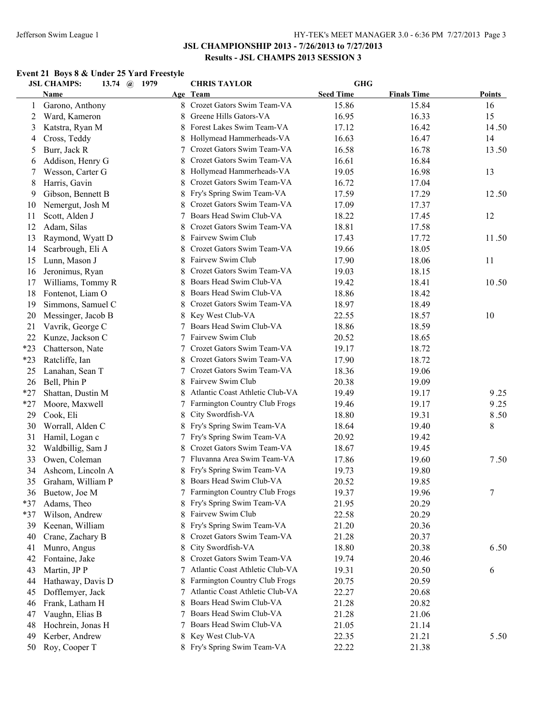# **Event 21 Boys 8 & Under 25 Yard Freestyle**

|       | <b>JSL CHAMPS:</b> | 13.74 (a) 1979 | <b>CHRIS TAYLOR</b>             | <b>GHG</b>       |                    |        |
|-------|--------------------|----------------|---------------------------------|------------------|--------------------|--------|
|       | <b>Name</b>        |                | Age Team                        | <b>Seed Time</b> | <b>Finals Time</b> | Points |
| 1     | Garono, Anthony    |                | 8 Crozet Gators Swim Team-VA    | 15.86            | 15.84              | 16     |
| 2     | Ward, Kameron      |                | Greene Hills Gators-VA          | 16.95            | 16.33              | 15     |
| 3     | Katstra, Ryan M    |                | Forest Lakes Swim Team-VA       | 17.12            | 16.42              | 14.50  |
| 4     | Cross, Teddy       |                | Hollymead Hammerheads-VA        | 16.63            | 16.47              | 14     |
| 5     | Burr, Jack R       | 7              | Crozet Gators Swim Team-VA      | 16.58            | 16.78              | 13.50  |
| 6     | Addison, Henry G   |                | Crozet Gators Swim Team-VA      | 16.61            | 16.84              |        |
| 7     | Wesson, Carter G   |                | Hollymead Hammerheads-VA        | 19.05            | 16.98              | 13     |
| 8     | Harris, Gavin      |                | Crozet Gators Swim Team-VA      | 16.72            | 17.04              |        |
| 9     | Gibson, Bennett B  | 8              | Fry's Spring Swim Team-VA       | 17.59            | 17.29              | 12.50  |
| 10    | Nemergut, Josh M   |                | Crozet Gators Swim Team-VA      | 17.09            | 17.37              |        |
| 11    | Scott, Alden J     |                | Boars Head Swim Club-VA         | 18.22            | 17.45              | 12     |
| 12    | Adam, Silas        |                | Crozet Gators Swim Team-VA      | 18.81            | 17.58              |        |
| 13    | Raymond, Wyatt D   |                | Fairvew Swim Club               | 17.43            | 17.72              | 11.50  |
| 14    | Scarbrough, Eli A  |                | Crozet Gators Swim Team-VA      | 19.66            | 18.05              |        |
| 15    | Lunn, Mason J      |                | Fairvew Swim Club               | 17.90            | 18.06              | 11     |
| 16    | Jeronimus, Ryan    | 8              | Crozet Gators Swim Team-VA      | 19.03            | 18.15              |        |
| 17    | Williams, Tommy R  | 8              | Boars Head Swim Club-VA         | 19.42            | 18.41              | 10.50  |
| 18    | Fontenot, Liam O   | 8.             | Boars Head Swim Club-VA         | 18.86            | 18.42              |        |
| 19    | Simmons, Samuel C  | 8              | Crozet Gators Swim Team-VA      | 18.97            | 18.49              |        |
| 20    | Messinger, Jacob B | 8              | Key West Club-VA                | 22.55            | 18.57              | 10     |
| 21    | Vavrik, George C   | 7              | Boars Head Swim Club-VA         | 18.86            | 18.59              |        |
| 22    | Kunze, Jackson C   | 7              | Fairvew Swim Club               | 20.52            | 18.65              |        |
| $*23$ | Chatterson, Nate   | 7              | Crozet Gators Swim Team-VA      | 19.17            | 18.72              |        |
| $*23$ | Ratcliffe, Ian     | 8              | Crozet Gators Swim Team-VA      | 17.90            | 18.72              |        |
| 25    | Lanahan, Sean T    |                | Crozet Gators Swim Team-VA      | 18.36            | 19.06              |        |
| 26    | Bell, Phin P       | 8              | Fairvew Swim Club               | 20.38            | 19.09              |        |
| $*27$ | Shattan, Dustin M  | 8              | Atlantic Coast Athletic Club-VA | 19.49            | 19.17              | 9.25   |
| $*27$ | Moore, Maxwell     | 7              | Farmington Country Club Frogs   | 19.46            | 19.17              | 9.25   |
| 29    | Cook, Eli          | 8              | City Swordfish-VA               | 18.80            | 19.31              | 8.50   |
| 30    | Worrall, Alden C   | 8              | Fry's Spring Swim Team-VA       | 18.64            | 19.40              | 8      |
| 31    | Hamil, Logan c     | 7              | Fry's Spring Swim Team-VA       | 20.92            | 19.42              |        |
| 32    | Waldbillig, Sam J  | 8              | Crozet Gators Swim Team-VA      | 18.67            | 19.45              |        |
| 33    | Owen, Coleman      |                | Fluvanna Area Swim Team-VA      | 17.86            | 19.60              | 7.50   |
| 34    | Ashcom, Lincoln A  |                | Fry's Spring Swim Team-VA       | 19.73            | 19.80              |        |
| 35    | Graham, William P  | 8              | Boars Head Swim Club-VA         | 20.52            | 19.85              |        |
| 36    | Buetow, Joe M      |                | 7 Farmington Country Club Frogs | 19.37            | 19.96              | $\tau$ |
| *37   | Adams, Theo        | 8              | Fry's Spring Swim Team-VA       | 21.95            | 20.29              |        |
| *37   | Wilson, Andrew     | 8              | Fairvew Swim Club               | 22.58            | 20.29              |        |
| 39    | Keenan, William    | 8              | Fry's Spring Swim Team-VA       | 21.20            | 20.36              |        |
| 40    | Crane, Zachary B   | 8              | Crozet Gators Swim Team-VA      | 21.28            | 20.37              |        |
| 41    | Munro, Angus       | 8              | City Swordfish-VA               | 18.80            | 20.38              | 6.50   |
| 42    | Fontaine, Jake     | 8              | Crozet Gators Swim Team-VA      | 19.74            | 20.46              |        |
| 43    | Martin, JP P       |                | Atlantic Coast Athletic Club-VA | 19.31            | 20.50              | 6      |
|       |                    |                | Farmington Country Club Frogs   |                  |                    |        |
| 44    | Hathaway, Davis D  | 8              | Atlantic Coast Athletic Club-VA | 20.75            | 20.59              |        |
| 45    | Dofflemyer, Jack   |                | Boars Head Swim Club-VA         | 22.27            | 20.68              |        |
| 46    | Frank, Latham H    | 8              | Boars Head Swim Club-VA         | 21.28            | 20.82              |        |
| 47    | Vaughn, Elias B    |                |                                 | 21.28            | 21.06              |        |
| 48    | Hochrein, Jonas H  | 7              | Boars Head Swim Club-VA         | 21.05            | 21.14              |        |
| 49    | Kerber, Andrew     | 8              | Key West Club-VA                | 22.35            | 21.21              | 5.50   |
| 50    | Roy, Cooper T      |                | 8 Fry's Spring Swim Team-VA     | 22.22            | 21.38              |        |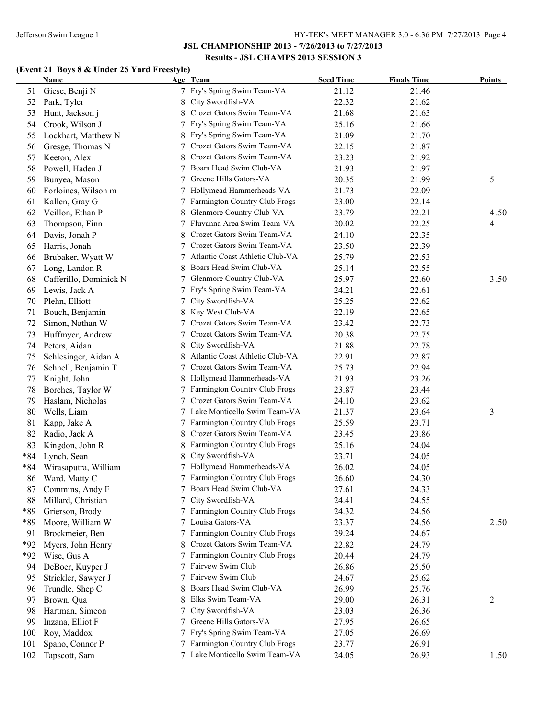# **(Event 21 Boys 8 & Under 25 Yard Freestyle)**

|       | <b>Name</b>            |   | Age Team                        | <b>Seed Time</b> | <b>Finals Time</b> | <b>Points</b> |
|-------|------------------------|---|---------------------------------|------------------|--------------------|---------------|
| 51    | Giese, Benji N         |   | 7 Fry's Spring Swim Team-VA     | 21.12            | 21.46              |               |
| 52    | Park, Tyler            |   | City Swordfish-VA               | 22.32            | 21.62              |               |
| 53    | Hunt, Jackson j        |   | Crozet Gators Swim Team-VA      | 21.68            | 21.63              |               |
| 54    | Crook, Wilson J        |   | Fry's Spring Swim Team-VA       | 25.16            | 21.66              |               |
| 55    | Lockhart, Matthew N    |   | Fry's Spring Swim Team-VA       | 21.09            | 21.70              |               |
| 56    | Gresge, Thomas N       |   | Crozet Gators Swim Team-VA      | 22.15            | 21.87              |               |
| 57    | Keeton, Alex           |   | Crozet Gators Swim Team-VA      | 23.23            | 21.92              |               |
| 58    | Powell, Haden J        |   | Boars Head Swim Club-VA         | 21.93            | 21.97              |               |
| 59    | Bunyea, Mason          |   | Greene Hills Gators-VA          | 20.35            | 21.99              | 5             |
| 60    | Forloines, Wilson m    |   | 7 Hollymead Hammerheads-VA      | 21.73            | 22.09              |               |
| 61    | Kallen, Gray G         |   | 7 Farmington Country Club Frogs | 23.00            | 22.14              |               |
| 62    | Veillon, Ethan P       | 8 | Glenmore Country Club-VA        | 23.79            | 22.21              | 4.50          |
| 63    | Thompson, Finn         |   | 7 Fluvanna Area Swim Team-VA    | 20.02            | 22.25              | 4             |
| 64    | Davis, Jonah P         | 8 | Crozet Gators Swim Team-VA      | 24.10            | 22.35              |               |
| 65    | Harris, Jonah          | 7 | Crozet Gators Swim Team-VA      | 23.50            | 22.39              |               |
| 66    | Brubaker, Wyatt W      | 7 | Atlantic Coast Athletic Club-VA | 25.79            | 22.53              |               |
| 67    | Long, Landon R         | 8 | Boars Head Swim Club-VA         | 25.14            | 22.55              |               |
| 68    | Cafferillo, Dominick N | 7 | Glenmore Country Club-VA        | 25.97            | 22.60              | 3.50          |
| 69    | Lewis, Jack A          | 7 | Fry's Spring Swim Team-VA       | 24.21            | 22.61              |               |
| 70    | Plehn, Elliott         | 7 | City Swordfish-VA               | 25.25            | 22.62              |               |
| 71    | Bouch, Benjamin        | 8 | Key West Club-VA                | 22.19            | 22.65              |               |
| 72    | Simon, Nathan W        | 7 | Crozet Gators Swim Team-VA      | 23.42            | 22.73              |               |
| 73    | Huffmyer, Andrew       | 7 | Crozet Gators Swim Team-VA      | 20.38            | 22.75              |               |
| 74    | Peters, Aidan          | 8 | City Swordfish-VA               | 21.88            | 22.78              |               |
| 75    | Schlesinger, Aidan A   | 8 | Atlantic Coast Athletic Club-VA | 22.91            | 22.87              |               |
| 76    | Schnell, Benjamin T    |   | Crozet Gators Swim Team-VA      | 25.73            | 22.94              |               |
| 77    | Knight, John           | 8 | Hollymead Hammerheads-VA        | 21.93            | 23.26              |               |
| 78    | Borches, Taylor W      |   | Farmington Country Club Frogs   | 23.87            | 23.44              |               |
| 79    | Haslam, Nicholas       |   | Crozet Gators Swim Team-VA      | 24.10            | 23.62              |               |
| 80    | Wells, Liam            |   | 7 Lake Monticello Swim Team-VA  | 21.37            | 23.64              | 3             |
| 81    | Kapp, Jake A           |   | Farmington Country Club Frogs   | 25.59            | 23.71              |               |
| 82    | Radio, Jack A          | 8 | Crozet Gators Swim Team-VA      | 23.45            | 23.86              |               |
| 83    | Kingdon, John R        | 8 | Farmington Country Club Frogs   | 25.16            | 24.04              |               |
| $*84$ | Lynch, Sean            | 8 | City Swordfish-VA               | 23.71            | 24.05              |               |
| *84   | Wirasaputra, William   |   | 7 Hollymead Hammerheads-VA      | 26.02            | 24.05              |               |
| 86    | Ward, Matty C          |   | Farmington Country Club Frogs   | 26.60            | 24.30              |               |
| 87    | Commins, Andy F        |   | 7 Boars Head Swim Club-VA       | 27.61            | 24.33              |               |
| 88    | Millard, Christian     |   | City Swordfish-VA               | 24.41            | 24.55              |               |
| *89   | Grierson, Brody        |   | 7 Farmington Country Club Frogs | 24.32            | 24.56              |               |
| *89   | Moore, William W       |   | 7 Louisa Gators-VA              | 23.37            | 24.56              | 2.50          |
| 91    | Brockmeier, Ben        |   | 7 Farmington Country Club Frogs | 29.24            | 24.67              |               |
| *92   | Myers, John Henry      | 8 | Crozet Gators Swim Team-VA      | 22.82            | 24.79              |               |
| *92   | Wise, Gus A            |   | 7 Farmington Country Club Frogs | 20.44            | 24.79              |               |
| 94    | DeBoer, Kuyper J       |   | 7 Fairvew Swim Club             | 26.86            | 25.50              |               |
|       | Strickler, Sawyer J    | 7 | Fairvew Swim Club               | 24.67            | 25.62              |               |
| 95    | Trundle, Shep C        | 8 | Boars Head Swim Club-VA         | 26.99            | 25.76              |               |
| 96    |                        |   | Elks Swim Team-VA               |                  |                    |               |
| 97    | Brown, Qua             | 8 |                                 | 29.00            | 26.31              | 2             |
| 98    | Hartman, Simeon        | 7 | City Swordfish-VA               | 23.03            | 26.36              |               |
| 99    | Inzana, Elliot F       | 7 | Greene Hills Gators-VA          | 27.95            | 26.65              |               |
| 100   | Roy, Maddox            | 7 | Fry's Spring Swim Team-VA       | 27.05            | 26.69              |               |
| 101   | Spano, Connor P        |   | Farmington Country Club Frogs   | 23.77            | 26.91              |               |
| 102   | Tapscott, Sam          |   | 7 Lake Monticello Swim Team-VA  | 24.05            | 26.93              | 1.50          |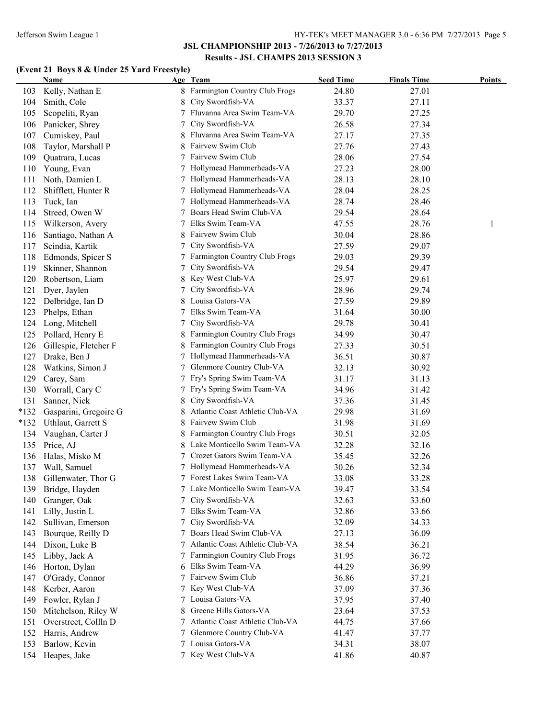# **(Event 21 Boys 8 & Under 25 Yard Freestyle)**

|               | <b>Name</b>           |   | Age Team                             | <b>Seed Time</b> | <b>Finals Time</b> | <b>Points</b> |
|---------------|-----------------------|---|--------------------------------------|------------------|--------------------|---------------|
| 103           | Kelly, Nathan E       | 8 | <b>Farmington Country Club Frogs</b> | 24.80            | 27.01              |               |
| 104           | Smith, Cole           | 8 | City Swordfish-VA                    | 33.37            | 27.11              |               |
| 105           | Scopeliti, Ryan       | 7 | Fluvanna Area Swim Team-VA           | 29.70            | 27.25              |               |
| 106           | Panicker, Shrey       | 7 | City Swordfish-VA                    | 26.58            | 27.34              |               |
| 107           | Cumiskey, Paul        |   | Fluvanna Area Swim Team-VA           | 27.17            | 27.35              |               |
| 108           | Taylor, Marshall P    | 8 | Fairvew Swim Club                    | 27.76            | 27.43              |               |
| 109           | Quatrara, Lucas       |   | Fairvew Swim Club                    | 28.06            | 27.54              |               |
| 110           | Young, Evan           |   | Hollymead Hammerheads-VA             | 27.23            | 28.00              |               |
| 111           | Noth, Damien L        |   | Hollymead Hammerheads-VA             | 28.13            | 28.10              |               |
| 112           | Shifflett, Hunter R   |   | Hollymead Hammerheads-VA             | 28.04            | 28.25              |               |
| 113           | Tuck, Ian             |   | Hollymead Hammerheads-VA             | 28.74            | 28.46              |               |
| 114           | Streed, Owen W        |   | Boars Head Swim Club-VA              | 29.54            | 28.64              |               |
| 115           | Wilkerson, Avery      |   | Elks Swim Team-VA                    | 47.55            | 28.76              | 1             |
| 116           | Santiago, Nathan A    |   | Fairvew Swim Club                    | 30.04            | 28.86              |               |
| 117           | Scindia, Kartik       |   | City Swordfish-VA                    | 27.59            | 29.07              |               |
| 118           | Edmonds, Spicer S     |   | Farmington Country Club Frogs        | 29.03            | 29.39              |               |
| 119           | Skinner, Shannon      |   | City Swordfish-VA                    | 29.54            | 29.47              |               |
| 120           | Robertson, Liam       |   | Key West Club-VA                     | 25.97            | 29.61              |               |
| 121           | Dyer, Jaylen          |   | City Swordfish-VA                    | 28.96            | 29.74              |               |
| 122           | Delbridge, Ian D      |   | Louisa Gators-VA                     | 27.59            | 29.89              |               |
| 123           | Phelps, Ethan         |   | Elks Swim Team-VA                    | 31.64            | 30.00              |               |
| 124           | Long, Mitchell        | 7 | City Swordfish-VA                    | 29.78            | 30.41              |               |
| 125           | Pollard, Henry E      | 8 | Farmington Country Club Frogs        | 34.99            | 30.47              |               |
| 126           | Gillespie, Fletcher F | 8 | Farmington Country Club Frogs        | 27.33            | 30.51              |               |
| 127           | Drake, Ben J          | 7 | Hollymead Hammerheads-VA             | 36.51            | 30.87              |               |
| 128           | Watkins, Simon J      | 7 | Glenmore Country Club-VA             | 32.13            | 30.92              |               |
| 129           | Carey, Sam            |   | Fry's Spring Swim Team-VA            | 31.17            | 31.13              |               |
| 130           | Worrall, Cary C       | 7 | Fry's Spring Swim Team-VA            | 34.96            | 31.42              |               |
|               |                       |   | City Swordfish-VA                    |                  |                    |               |
| 131<br>$*132$ | Sanner, Nick          | 8 | Atlantic Coast Athletic Club-VA      | 37.36            | 31.45              |               |
|               | Gasparini, Gregoire G | 8 | Fairvew Swim Club                    | 29.98            | 31.69              |               |
| $*132$        | Uthlaut, Garrett S    | 8 |                                      | 31.98            | 31.69              |               |
| 134           | Vaughan, Carter J     | 8 | Farmington Country Club Frogs        | 30.51            | 32.05              |               |
| 135           | Price, AJ             | 8 | Lake Monticello Swim Team-VA         | 32.28            | 32.16              |               |
| 136           | Halas, Misko M        | 7 | Crozet Gators Swim Team-VA           | 35.45            | 32.26              |               |
| 137           | Wall, Samuel          |   | Hollymead Hammerheads-VA             | 30.26            | 32.34              |               |
| 138           | Gillenwater, Thor G   |   | 7 Forest Lakes Swim Team-VA          | 33.08            | 33.28              |               |
| 139           | Bridge, Hayden        |   | 7 Lake Monticello Swim Team-VA       | 39.47            | 33.54              |               |
| 140           | Granger, Oak          |   | City Swordfish-VA                    | 32.63            | 33.60              |               |
| 141           | Lilly, Justin L       |   | Elks Swim Team-VA                    | 32.86            | 33.66              |               |
| 142           | Sullivan, Emerson     | 7 | City Swordfish-VA                    | 32.09            | 34.33              |               |
| 143           | Bourque, Reilly D     | 7 | Boars Head Swim Club-VA              | 27.13            | 36.09              |               |
| 144           | Dixon, Luke B         |   | Atlantic Coast Athletic Club-VA      | 38.54            | 36.21              |               |
| 145           | Libby, Jack A         |   | Farmington Country Club Frogs        | 31.95            | 36.72              |               |
| 146           | Horton, Dylan         | 6 | Elks Swim Team-VA                    | 44.29            | 36.99              |               |
| 147           | O'Grady, Connor       |   | Fairvew Swim Club                    | 36.86            | 37.21              |               |
| 148           | Kerber, Aaron         |   | Key West Club-VA                     | 37.09            | 37.36              |               |
| 149           | Fowler, Rylan J       |   | Louisa Gators-VA                     | 37.95            | 37.40              |               |
| 150           | Mitchelson, Riley W   | 8 | Greene Hills Gators-VA               | 23.64            | 37.53              |               |
| 151           | Overstreet, Collln D  |   | Atlantic Coast Athletic Club-VA      | 44.75            | 37.66              |               |
| 152           | Harris, Andrew        |   | Glenmore Country Club-VA             | 41.47            | 37.77              |               |
| 153           | Barlow, Kevin         |   | 7 Louisa Gators-VA                   | 34.31            | 38.07              |               |
| 154           | Heapes, Jake          |   | 7 Key West Club-VA                   | 41.86            | 40.87              |               |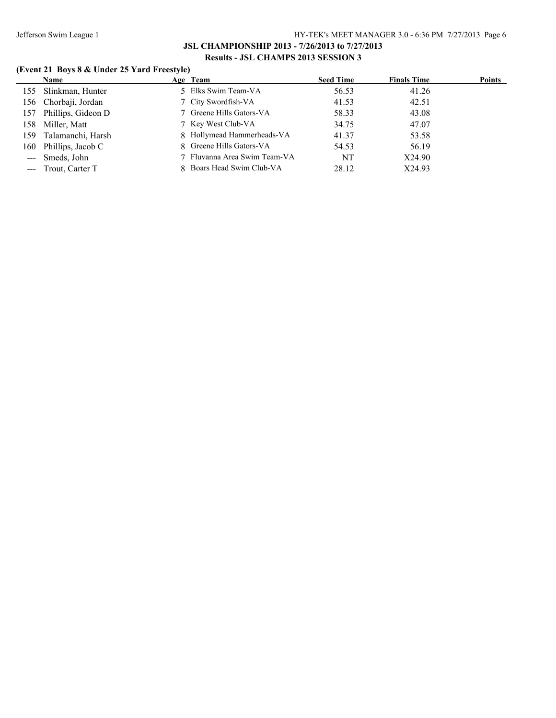# **(Event 21 Boys 8 & Under 25 Yard Freestyle)**

|     | <b>Name</b>            | Age Team                     | <b>Seed Time</b> | <b>Finals Time</b> | <b>Points</b> |
|-----|------------------------|------------------------------|------------------|--------------------|---------------|
|     | 155 Slinkman, Hunter   | 5 Elks Swim Team-VA          | 56.53            | 41.26              |               |
|     | 156 Chorbaji, Jordan   | 7 City Swordfish-VA          | 41.53            | 42.51              |               |
|     | 157 Phillips, Gideon D | 7 Greene Hills Gators-VA     | 58.33            | 43.08              |               |
|     | 158 Miller, Matt       | 7 Key West Club-VA           | 34.75            | 47.07              |               |
| 159 | Talamanchi, Harsh      | 8 Hollymead Hammerheads-VA   | 41.37            | 53.58              |               |
|     | 160 Phillips, Jacob C  | 8 Greene Hills Gators-VA     | 54.53            | 56.19              |               |
|     | --- Smeds, John        | 7 Fluvanna Area Swim Team-VA | NT               | X24.90             |               |
|     | --- Trout, Carter T    | 8 Boars Head Swim Club-VA    | 28.12            | X24.93             |               |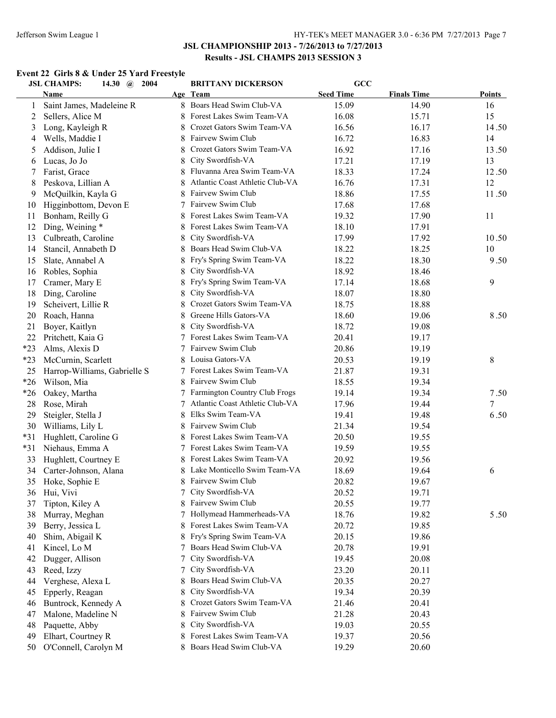#### **Event 22 Girls 8 & Under 25 Yard Freestyle**

|       | <b>JSL CHAMPS:</b><br>2004<br>14.30 $\omega$ |    | <b>BRITTANY DICKERSON</b>       | $GCC$            |                    |               |
|-------|----------------------------------------------|----|---------------------------------|------------------|--------------------|---------------|
|       | Name                                         |    | Age Team                        | <b>Seed Time</b> | <b>Finals Time</b> | <b>Points</b> |
| 1     | Saint James, Madeleine R                     |    | 8 Boars Head Swim Club-VA       | 15.09            | 14.90              | 16            |
| 2     | Sellers, Alice M                             | 8  | Forest Lakes Swim Team-VA       | 16.08            | 15.71              | 15            |
| 3     | Long, Kayleigh R                             | 8  | Crozet Gators Swim Team-VA      | 16.56            | 16.17              | 14.50         |
| 4     | Wells, Maddie I                              | 8  | Fairvew Swim Club               | 16.72            | 16.83              | 14            |
| 5     | Addison, Julie I                             | 8  | Crozet Gators Swim Team-VA      | 16.92            | 17.16              | 13.50         |
| 6     | Lucas, Jo Jo                                 | 8  | City Swordfish-VA               | 17.21            | 17.19              | 13            |
| 7     | Farist, Grace                                | 8  | Fluvanna Area Swim Team-VA      | 18.33            | 17.24              | 12.50         |
| 8     | Peskova, Lillian A                           | 8  | Atlantic Coast Athletic Club-VA | 16.76            | 17.31              | 12            |
| 9     | McQuilkin, Kayla G                           | 8  | Fairvew Swim Club               | 18.86            | 17.55              | 11.50         |
| 10    | Higginbottom, Devon E                        | 7  | Fairvew Swim Club               | 17.68            | 17.68              |               |
| 11    | Bonham, Reilly G                             |    | Forest Lakes Swim Team-VA       | 19.32            | 17.90              | 11            |
| 12    | Ding, Weining *                              |    | Forest Lakes Swim Team-VA       | 18.10            | 17.91              |               |
| 13    | Culbreath, Caroline                          | 8  | City Swordfish-VA               | 17.99            | 17.92              | 10.50         |
| 14    | Stancil, Annabeth D                          | 8  | Boars Head Swim Club-VA         | 18.22            | 18.25              | 10            |
| 15    | Slate, Annabel A                             | 8  | Fry's Spring Swim Team-VA       | 18.22            | 18.30              | 9.50          |
| 16    |                                              |    | City Swordfish-VA               | 18.92            | 18.46              |               |
|       | Robles, Sophia                               | 8  | Fry's Spring Swim Team-VA       |                  |                    |               |
| 17    | Cramer, Mary E                               |    |                                 | 17.14            | 18.68              | 9             |
| 18    | Ding, Caroline                               | 8  | City Swordfish-VA               | 18.07            | 18.80              |               |
| 19    | Scheivert, Lillie R                          |    | Crozet Gators Swim Team-VA      | 18.75            | 18.88              |               |
| 20    | Roach, Hanna                                 | 8  | Greene Hills Gators-VA          | 18.60            | 19.06              | 8.50          |
| 21    | Boyer, Kaitlyn                               | 8  | City Swordfish-VA               | 18.72            | 19.08              |               |
| 22    | Pritchett, Kaia G                            |    | 7 Forest Lakes Swim Team-VA     | 20.41            | 19.17              |               |
| $*23$ | Alms, Alexis D                               |    | 7 Fairvew Swim Club             | 20.86            | 19.19              |               |
| $*23$ | McCurnin, Scarlett                           |    | 8 Louisa Gators-VA              | 20.53            | 19.19              | 8             |
| 25    | Harrop-Williams, Gabrielle S                 | 7  | Forest Lakes Swim Team-VA       | 21.87            | 19.31              |               |
| $*26$ | Wilson, Mia                                  |    | 8 Fairvew Swim Club             | 18.55            | 19.34              |               |
| $*26$ | Oakey, Martha                                | 7  | Farmington Country Club Frogs   | 19.14            | 19.34              | 7.50          |
| 28    | Rose, Mirah                                  | 7  | Atlantic Coast Athletic Club-VA | 17.96            | 19.44              | 7             |
| 29    | Steigler, Stella J                           | 8  | Elks Swim Team-VA               | 19.41            | 19.48              | 6.50          |
| 30    | Williams, Lily L                             | 8  | Fairvew Swim Club               | 21.34            | 19.54              |               |
| $*31$ | Hughlett, Caroline G                         | 8  | Forest Lakes Swim Team-VA       | 20.50            | 19.55              |               |
| $*31$ | Niehaus, Emma A                              | 7  | Forest Lakes Swim Team-VA       | 19.59            | 19.55              |               |
| 33    | Hughlett, Courtney E                         | 8. | Forest Lakes Swim Team-VA       | 20.92            | 19.56              |               |
| 34    | Carter-Johnson, Alana                        |    | Lake Monticello Swim Team-VA    | 18.69            | 19.64              | 6             |
| 35    | Hoke, Sophie E                               |    | 8 Fairvew Swim Club             | 20.82            | 19.67              |               |
| 36    | Hui, Vivi                                    |    | City Swordfish-VA               | 20.52            | 19.71              |               |
| 37    | Tipton, Kiley A                              |    | Fairvew Swim Club               | 20.55            | 19.77              |               |
| 38    | Murray, Meghan                               | 7  | Hollymead Hammerheads-VA        | 18.76            | 19.82              | 5.50          |
| 39    | Berry, Jessica L                             |    | Forest Lakes Swim Team-VA       | 20.72            | 19.85              |               |
| 40    | Shim, Abigail K                              |    | Fry's Spring Swim Team-VA       | 20.15            | 19.86              |               |
| 41    | Kincel, Lo M                                 | 7  | Boars Head Swim Club-VA         | 20.78            | 19.91              |               |
| 42    | Dugger, Allison                              | 7  | City Swordfish-VA               | 19.45            | 20.08              |               |
| 43    | Reed, Izzy                                   | 7  | City Swordfish-VA               | 23.20            | 20.11              |               |
| 44    | Verghese, Alexa L                            | 8  | Boars Head Swim Club-VA         | 20.35            | 20.27              |               |
|       | Epperly, Reagan                              |    | City Swordfish-VA               |                  |                    |               |
| 45    |                                              | 8  | Crozet Gators Swim Team-VA      | 19.34            | 20.39              |               |
| 46    | Buntrock, Kennedy A                          | 8  | Fairvew Swim Club               | 21.46            | 20.41              |               |
| 47    | Malone, Madeline N                           | 8  |                                 | 21.28            | 20.43              |               |
| 48    | Paquette, Abby                               | 8  | City Swordfish-VA               | 19.03            | 20.55              |               |
| 49    | Elhart, Courtney R                           |    | Forest Lakes Swim Team-VA       | 19.37            | 20.56              |               |
| 50    | O'Connell, Carolyn M                         |    | 8 Boars Head Swim Club-VA       | 19.29            | 20.60              |               |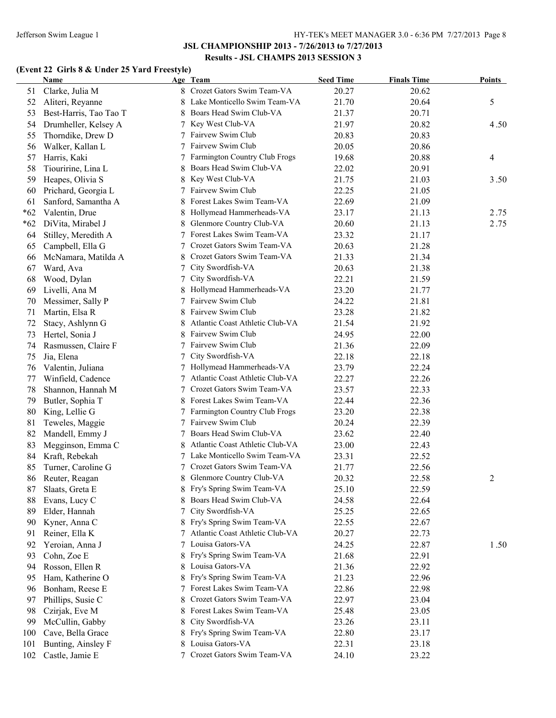#### **(Event 22 Girls 8 & Under 25 Yard Freestyle)**

|       | Name                   |   | Age Team                          | <b>Seed Time</b> | <b>Finals Time</b> | <b>Points</b> |
|-------|------------------------|---|-----------------------------------|------------------|--------------------|---------------|
| 51    | Clarke, Julia M        |   | 8 Crozet Gators Swim Team-VA      | 20.27            | 20.62              |               |
| 52    | Aliteri, Reyanne       |   | Lake Monticello Swim Team-VA      | 21.70            | 20.64              | 5             |
| 53    | Best-Harris, Tao Tao T |   | 8 Boars Head Swim Club-VA         | 21.37            | 20.71              |               |
| 54    | Drumheller, Kelsey A   |   | 7 Key West Club-VA                | 21.97            | 20.82              | 4.50          |
| 55    | Thorndike, Drew D      |   | 7 Fairvew Swim Club               | 20.83            | 20.83              |               |
| 56    | Walker, Kallan L       |   | 7 Fairvew Swim Club               | 20.05            | 20.86              |               |
| 57    | Harris, Kaki           |   | 7 Farmington Country Club Frogs   | 19.68            | 20.88              | 4             |
| 58    | Tiouririne, Lina L     |   | Boars Head Swim Club-VA           | 22.02            | 20.91              |               |
| 59    | Heapes, Olivia S       | 8 | Key West Club-VA                  | 21.75            | 21.03              | 3.50          |
| 60    | Prichard, Georgia L    |   | 7 Fairvew Swim Club               | 22.25            | 21.05              |               |
| 61    | Sanford, Samantha A    |   | Forest Lakes Swim Team-VA         | 22.69            | 21.09              |               |
| $*62$ | Valentin, Drue         | 8 | Hollymead Hammerheads-VA          | 23.17            | 21.13              | 2.75          |
| $*62$ | DiVita, Mirabel J      | 8 | Glenmore Country Club-VA          | 20.60            | 21.13              | 2.75          |
| 64    | Stilley, Meredith A    |   | 7 Forest Lakes Swim Team-VA       | 23.32            | 21.17              |               |
| 65    | Campbell, Ella G       | 7 | Crozet Gators Swim Team-VA        | 20.63            | 21.28              |               |
| 66    | McNamara, Matilda A    | 8 | Crozet Gators Swim Team-VA        | 21.33            | 21.34              |               |
| 67    | Ward, Ava              | 7 | City Swordfish-VA                 | 20.63            | 21.38              |               |
| 68    | Wood, Dylan            | 7 | City Swordfish-VA                 | 22.21            | 21.59              |               |
| 69    | Livelli, Ana M         | 8 | Hollymead Hammerheads-VA          | 23.20            | 21.77              |               |
| 70    | Messimer, Sally P      | 7 | Fairvew Swim Club                 | 24.22            | 21.81              |               |
| 71    | Martin, Elsa R         | 8 | Fairvew Swim Club                 | 23.28            | 21.82              |               |
| 72    | Stacy, Ashlynn G       | 8 | Atlantic Coast Athletic Club-VA   | 21.54            | 21.92              |               |
| 73    | Hertel, Sonia J        | 8 | Fairvew Swim Club                 | 24.95            | 22.00              |               |
| 74    | Rasmussen, Claire F    |   | Fairvew Swim Club                 | 21.36            | 22.09              |               |
| 75    | Jia, Elena             |   | City Swordfish-VA                 | 22.18            | 22.18              |               |
| 76    | Valentin, Juliana      |   | 7 Hollymead Hammerheads-VA        | 23.79            | 22.24              |               |
| 77    | Winfield, Cadence      | 7 | Atlantic Coast Athletic Club-VA   | 22.27            | 22.26              |               |
| 78    | Shannon, Hannah M      | 7 | Crozet Gators Swim Team-VA        | 23.57            | 22.33              |               |
| 79    | Butler, Sophia T       |   | Forest Lakes Swim Team-VA         | 22.44            | 22.36              |               |
| 80    | King, Lellie G         |   | 7 Farmington Country Club Frogs   | 23.20            | 22.38              |               |
| 81    | Teweles, Maggie        |   | 7 Fairvew Swim Club               | 20.24            | 22.39              |               |
| 82    | Mandell, Emmy J        |   | Boars Head Swim Club-VA           | 23.62            | 22.40              |               |
| 83    | Megginson, Emma C      |   | Atlantic Coast Athletic Club-VA   | 23.00            | 22.43              |               |
| 84    | Kraft, Rebekah         |   | 7 Lake Monticello Swim Team-VA    | 23.31            | 22.52              |               |
| 85    | Turner, Caroline G     |   | 7 Crozet Gators Swim Team-VA      | 21.77            | 22.56              |               |
| 86    | Reuter, Reagan         |   | 8 Glenmore Country Club-VA        | 20.32            | 22.58              | 2             |
| 87    | Slaats, Greta E        |   | 8 Fry's Spring Swim Team-VA       | 25.10            | 22.59              |               |
| 88    | Evans, Lucy C          |   | 8 Boars Head Swim Club-VA         | 24.58            | 22.64              |               |
| 89    | Elder, Hannah          |   | City Swordfish-VA                 | 25.25            | 22.65              |               |
| 90    | Kyner, Anna C          |   | 8 Fry's Spring Swim Team-VA       | 22.55            | 22.67              |               |
| 91    | Reiner, Ella K         |   | 7 Atlantic Coast Athletic Club-VA | 20.27            | 22.73              |               |
| 92    | Yeroian, Anna J        | 7 | Louisa Gators-VA                  | 24.25            | 22.87              | 1.50          |
| 93    | Cohn, Zoe E            | 8 | Fry's Spring Swim Team-VA         | 21.68            | 22.91              |               |
| 94    | Rosson, Ellen R        | 8 | Louisa Gators-VA                  | 21.36            | 22.92              |               |
| 95    | Ham, Katherine O       | 8 | Fry's Spring Swim Team-VA         | 21.23            | 22.96              |               |
| 96    | Bonham, Reese E        |   | 7 Forest Lakes Swim Team-VA       | 22.86            | 22.98              |               |
| 97    | Phillips, Susie C      | 8 | Crozet Gators Swim Team-VA        | 22.97            | 23.04              |               |
| 98    | Czirjak, Eve M         | 8 | Forest Lakes Swim Team-VA         | 25.48            | 23.05              |               |
| 99    | McCullin, Gabby        | 8 | City Swordfish-VA                 | 23.26            | 23.11              |               |
| 100   | Cave, Bella Grace      | 8 | Fry's Spring Swim Team-VA         | 22.80            | 23.17              |               |
| 101   | Bunting, Ainsley F     |   | Louisa Gators-VA                  | 22.31            | 23.18              |               |
| 102   | Castle, Jamie E        |   | Crozet Gators Swim Team-VA        | 24.10            | 23.22              |               |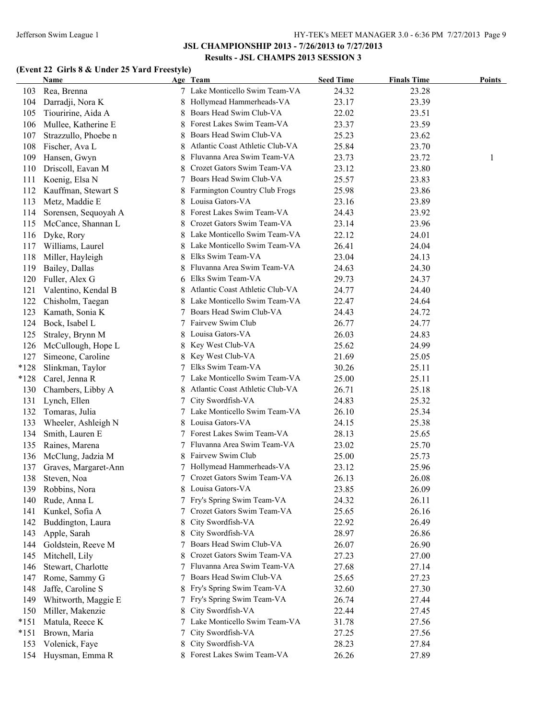#### Jefferson Swim League 1 HY-TEK's MEET MANAGER 3.0 - 6:36 PM 7/27/2013 Page 9

### **JSL CHAMPIONSHIP 2013 - 7/26/2013 to 7/27/2013 Results - JSL CHAMPS 2013 SESSION 3**

# **(Event 22 Girls 8 & Under 25 Yard Freestyle)**

|        | <b>Name</b>          |   | Age Team                                                | <b>Seed Time</b> | <b>Finals Time</b> | Points |
|--------|----------------------|---|---------------------------------------------------------|------------------|--------------------|--------|
| 103    | Rea, Brenna          |   | 7 Lake Monticello Swim Team-VA                          | 24.32            | 23.28              |        |
| 104    | Darradji, Nora K     |   | 8 Hollymead Hammerheads-VA                              | 23.17            | 23.39              |        |
| 105    | Tiouririne, Aida A   | 8 | Boars Head Swim Club-VA                                 | 22.02            | 23.51              |        |
| 106    | Mullee, Katherine E  |   | Forest Lakes Swim Team-VA                               | 23.37            | 23.59              |        |
| 107    | Strazzullo, Phoebe n | 8 | Boars Head Swim Club-VA                                 | 25.23            | 23.62              |        |
| 108    | Fischer, Ava L       | 8 | Atlantic Coast Athletic Club-VA                         | 25.84            | 23.70              |        |
| 109    | Hansen, Gwyn         | 8 | Fluvanna Area Swim Team-VA                              | 23.73            | 23.72              | 1      |
| 110    | Driscoll, Eavan M    | 8 | Crozet Gators Swim Team-VA                              | 23.12            | 23.80              |        |
| 111    | Koenig, Elsa N       |   | Boars Head Swim Club-VA                                 | 25.57            | 23.83              |        |
| 112    | Kauffman, Stewart S  | 8 | Farmington Country Club Frogs                           | 25.98            | 23.86              |        |
| 113    | Metz, Maddie E       | 8 | Louisa Gators-VA                                        | 23.16            | 23.89              |        |
| 114    | Sorensen, Sequoyah A | 8 | Forest Lakes Swim Team-VA                               | 24.43            | 23.92              |        |
| 115    | McCance, Shannan L   | 8 | Crozet Gators Swim Team-VA                              | 23.14            | 23.96              |        |
| 116    | Dyke, Rory           |   | 8 Lake Monticello Swim Team-VA                          | 22.12            | 24.01              |        |
| 117    | Williams, Laurel     |   | Lake Monticello Swim Team-VA                            | 26.41            | 24.04              |        |
| 118    | Miller, Hayleigh     | 8 | Elks Swim Team-VA                                       | 23.04            | 24.13              |        |
| 119    | Bailey, Dallas       |   | Fluvanna Area Swim Team-VA                              | 24.63            | 24.30              |        |
| 120    |                      |   | Elks Swim Team-VA                                       | 29.73            | 24.37              |        |
|        | Fuller, Alex G       | 6 | Atlantic Coast Athletic Club-VA                         | 24.77            |                    |        |
| 121    | Valentino, Kendal B  | 8 |                                                         |                  | 24.40              |        |
| 122    | Chisholm, Taegan     | 8 | Lake Monticello Swim Team-VA<br>Boars Head Swim Club-VA | 22.47            | 24.64              |        |
| 123    | Kamath, Sonia K      | 7 |                                                         | 24.43            | 24.72              |        |
| 124    | Bock, Isabel L       |   | 7 Fairvew Swim Club                                     | 26.77            | 24.77              |        |
| 125    | Straley, Brynn M     | 8 | Louisa Gators-VA                                        | 26.03            | 24.83              |        |
| 126    | McCullough, Hope L   | 8 | Key West Club-VA                                        | 25.62            | 24.99              |        |
| 127    | Simeone, Caroline    | 8 | Key West Club-VA                                        | 21.69            | 25.05              |        |
| $*128$ | Slinkman, Taylor     | 7 | Elks Swim Team-VA                                       | 30.26            | 25.11              |        |
| $*128$ | Carel, Jenna R       |   | 7 Lake Monticello Swim Team-VA                          | 25.00            | 25.11              |        |
| 130    | Chambers, Libby A    | 8 | Atlantic Coast Athletic Club-VA                         | 26.71            | 25.18              |        |
| 131    | Lynch, Ellen         | 7 | City Swordfish-VA                                       | 24.83            | 25.32              |        |
| 132    | Tomaras, Julia       |   | 7 Lake Monticello Swim Team-VA                          | 26.10            | 25.34              |        |
| 133    | Wheeler, Ashleigh N  | 8 | Louisa Gators-VA                                        | 24.15            | 25.38              |        |
| 134    | Smith, Lauren E      |   | 7 Forest Lakes Swim Team-VA                             | 28.13            | 25.65              |        |
| 135    | Raines, Marena       |   | Fluvanna Area Swim Team-VA                              | 23.02            | 25.70              |        |
| 136    | McClung, Jadzia M    |   | Fairvew Swim Club                                       | 25.00            | 25.73              |        |
| 137    | Graves, Margaret-Ann |   | 7 Hollymead Hammerheads-VA                              | 23.12            | 25.96              |        |
| 138    | Steven, Noa          | 7 | Crozet Gators Swim Team-VA                              | 26.13            | 26.08              |        |
| 139    | Robbins, Nora        |   | 8 Louisa Gators-VA                                      | 23.85            | 26.09              |        |
| 140    | Rude, Anna L         | 7 | Fry's Spring Swim Team-VA                               | 24.32            | 26.11              |        |
| 141    | Kunkel, Sofia A      |   | Crozet Gators Swim Team-VA                              | 25.65            | 26.16              |        |
| 142    | Buddington, Laura    | 8 | City Swordfish-VA                                       | 22.92            | 26.49              |        |
| 143    | Apple, Sarah         | 8 | City Swordfish-VA                                       | 28.97            | 26.86              |        |
| 144    | Goldstein, Reeve M   |   | Boars Head Swim Club-VA                                 | 26.07            | 26.90              |        |
| 145    | Mitchell, Lily       | 8 | Crozet Gators Swim Team-VA                              | 27.23            | 27.00              |        |
| 146    | Stewart, Charlotte   |   | Fluvanna Area Swim Team-VA                              | 27.68            | 27.14              |        |
| 147    | Rome, Sammy G        |   | Boars Head Swim Club-VA                                 | 25.65            | 27.23              |        |
| 148    | Jaffe, Caroline S    |   | Fry's Spring Swim Team-VA                               | 32.60            | 27.30              |        |
| 149    | Whitworth, Maggie E  |   | 7 Fry's Spring Swim Team-VA                             | 26.74            | 27.44              |        |
| 150    | Miller, Makenzie     | 8 | City Swordfish-VA                                       | 22.44            | 27.45              |        |
| $*151$ | Matula, Reece K      | 7 | Lake Monticello Swim Team-VA                            | 31.78            | 27.56              |        |
| $*151$ | Brown, Maria         | 7 | City Swordfish-VA                                       | 27.25            | 27.56              |        |
| 153    | Volenick, Faye       | 8 | City Swordfish-VA                                       | 28.23            | 27.84              |        |
| 154    | Huysman, Emma R      | 8 | Forest Lakes Swim Team-VA                               | 26.26            | 27.89              |        |
|        |                      |   |                                                         |                  |                    |        |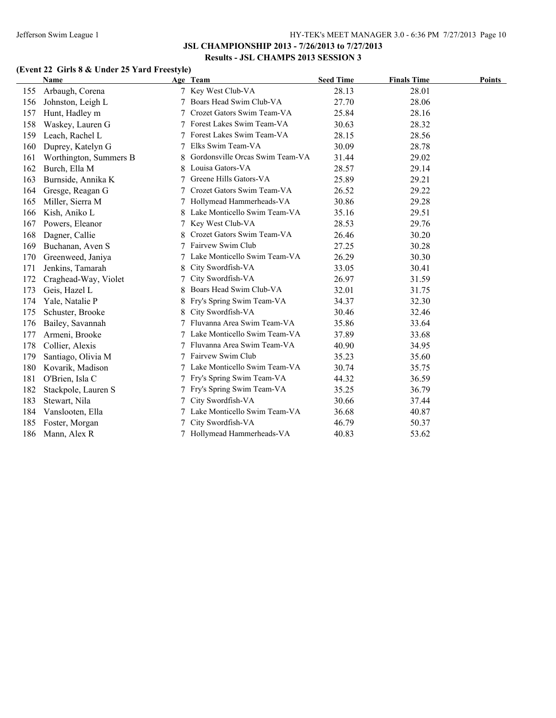# **(Event 22 Girls 8 & Under 25 Yard Freestyle)**

|     | <b>Name</b>            |   | Age Team                        | <b>Seed Time</b> | <b>Finals Time</b> | Points |
|-----|------------------------|---|---------------------------------|------------------|--------------------|--------|
| 155 | Arbaugh, Corena        |   | 7 Key West Club-VA              | 28.13            | 28.01              |        |
| 156 | Johnston, Leigh L      |   | Boars Head Swim Club-VA         | 27.70            | 28.06              |        |
| 157 | Hunt, Hadley m         |   | Crozet Gators Swim Team-VA      | 25.84            | 28.16              |        |
| 158 | Waskey, Lauren G       |   | Forest Lakes Swim Team-VA       | 30.63            | 28.32              |        |
| 159 | Leach, Rachel L        |   | Forest Lakes Swim Team-VA       | 28.15            | 28.56              |        |
| 160 | Duprey, Katelyn G      |   | Elks Swim Team-VA               | 30.09            | 28.78              |        |
| 161 | Worthington, Summers B | 8 | Gordonsville Orcas Swim Team-VA | 31.44            | 29.02              |        |
| 162 | Burch, Ella M          |   | Louisa Gators-VA                | 28.57            | 29.14              |        |
| 163 | Burnside, Annika K     |   | Greene Hills Gators-VA          | 25.89            | 29.21              |        |
| 164 | Gresge, Reagan G       |   | Crozet Gators Swim Team-VA      | 26.52            | 29.22              |        |
| 165 | Miller, Sierra M       |   | Hollymead Hammerheads-VA        | 30.86            | 29.28              |        |
| 166 | Kish, Aniko L          |   | Lake Monticello Swim Team-VA    | 35.16            | 29.51              |        |
| 167 | Powers, Eleanor        | 7 | Key West Club-VA                | 28.53            | 29.76              |        |
| 168 | Dagner, Callie         | 8 | Crozet Gators Swim Team-VA      | 26.46            | 30.20              |        |
| 169 | Buchanan, Aven S       |   | Fairvew Swim Club               | 27.25            | 30.28              |        |
| 170 | Greenweed, Janiya      |   | Lake Monticello Swim Team-VA    | 26.29            | 30.30              |        |
| 171 | Jenkins, Tamarah       | 8 | City Swordfish-VA               | 33.05            | 30.41              |        |
| 172 | Craghead-Way, Violet   |   | City Swordfish-VA               | 26.97            | 31.59              |        |
| 173 | Geis, Hazel L          |   | Boars Head Swim Club-VA         | 32.01            | 31.75              |        |
| 174 | Yale, Natalie P        |   | Fry's Spring Swim Team-VA       | 34.37            | 32.30              |        |
| 175 | Schuster, Brooke       | 8 | City Swordfish-VA               | 30.46            | 32.46              |        |
| 176 | Bailey, Savannah       |   | Fluvanna Area Swim Team-VA      | 35.86            | 33.64              |        |
| 177 | Armeni, Brooke         |   | Lake Monticello Swim Team-VA    | 37.89            | 33.68              |        |
| 178 | Collier, Alexis        | 7 | Fluvanna Area Swim Team-VA      | 40.90            | 34.95              |        |
| 179 | Santiago, Olivia M     | 7 | Fairvew Swim Club               | 35.23            | 35.60              |        |
| 180 | Kovarik, Madison       |   | Lake Monticello Swim Team-VA    | 30.74            | 35.75              |        |
| 181 | O'Brien, Isla C        |   | Fry's Spring Swim Team-VA       | 44.32            | 36.59              |        |
| 182 | Stackpole, Lauren S    |   | Fry's Spring Swim Team-VA       | 35.25            | 36.79              |        |
| 183 | Stewart, Nila          |   | City Swordfish-VA               | 30.66            | 37.44              |        |
| 184 | Vanslooten, Ella       |   | Lake Monticello Swim Team-VA    | 36.68            | 40.87              |        |
| 185 | Foster, Morgan         |   | City Swordfish-VA               | 46.79            | 50.37              |        |
| 186 | Mann, Alex R           |   | Hollymead Hammerheads-VA        | 40.83            | 53.62              |        |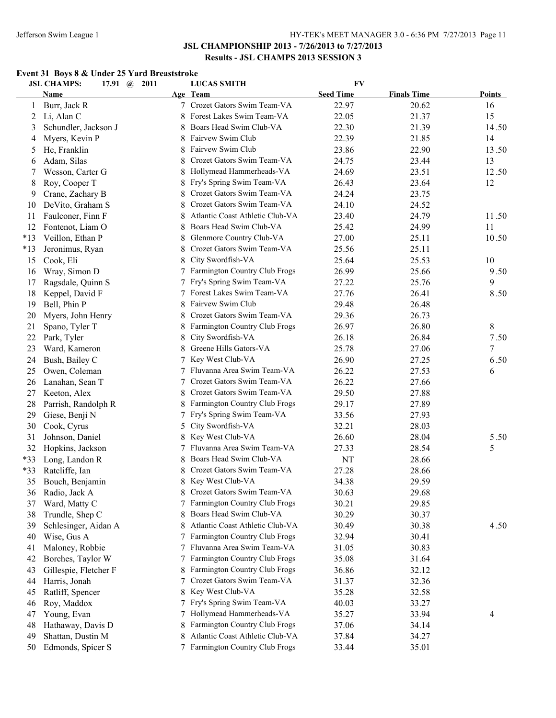### **Event 31 Boys 8 & Under 25 Yard Breaststroke**

|       | <b>JSL CHAMPS:</b><br>17.91 $\omega$ | 2011   | <b>LUCAS SMITH</b>                             | <b>FV</b>        |                    |               |
|-------|--------------------------------------|--------|------------------------------------------------|------------------|--------------------|---------------|
|       | Name                                 |        | Age Team                                       | <b>Seed Time</b> | <b>Finals Time</b> | <b>Points</b> |
| 1     | Burr, Jack R                         |        | 7 Crozet Gators Swim Team-VA                   | 22.97            | 20.62              | 16            |
| 2     | Li, Alan C                           | 8      | Forest Lakes Swim Team-VA                      | 22.05            | 21.37              | 15            |
| 3     | Schundler, Jackson J                 | 8      | Boars Head Swim Club-VA                        | 22.30            | 21.39              | 14.50         |
| 4     | Myers, Kevin P                       | 8      | Fairvew Swim Club                              | 22.39            | 21.85              | 14            |
| 5     | He, Franklin                         | 8      | Fairvew Swim Club                              | 23.86            | 22.90              | 13.50         |
| 6     | Adam, Silas                          |        | Crozet Gators Swim Team-VA                     | 24.75            | 23.44              | 13            |
| 7     | Wesson, Carter G                     | 8      | Hollymead Hammerheads-VA                       | 24.69            | 23.51              | 12.50         |
| 8     | Roy, Cooper T                        | 8      | Fry's Spring Swim Team-VA                      | 26.43            | 23.64              | 12            |
| 9     | Crane, Zachary B                     | 8      | Crozet Gators Swim Team-VA                     | 24.24            | 23.75              |               |
| 10    | DeVito, Graham S                     |        | Crozet Gators Swim Team-VA                     | 24.10            | 24.52              |               |
| 11    | Faulconer, Finn F                    | 8      | Atlantic Coast Athletic Club-VA                | 23.40            | 24.79              | 11.50         |
| 12    | Fontenot, Liam O                     |        | Boars Head Swim Club-VA                        | 25.42            | 24.99              | 11            |
| $*13$ | Veillon, Ethan P                     |        | Glenmore Country Club-VA                       | 27.00            | 25.11              | 10.50         |
| $*13$ | Jeronimus, Ryan                      |        | Crozet Gators Swim Team-VA                     | 25.56            | 25.11              |               |
| 15    | Cook, Eli                            |        | City Swordfish-VA                              | 25.64            | 25.53              | 10            |
| 16    | Wray, Simon D                        |        | Farmington Country Club Frogs                  | 26.99            | 25.66              | 9.50          |
| 17    | Ragsdale, Quinn S                    |        | Fry's Spring Swim Team-VA                      | 27.22            | 25.76              | 9             |
| 18    | Keppel, David F                      |        | Forest Lakes Swim Team-VA                      | 27.76            | 26.41              | 8.50          |
| 19    | Bell, Phin P                         |        | Fairvew Swim Club                              | 29.48            | 26.48              |               |
| 20    | Myers, John Henry                    |        | Crozet Gators Swim Team-VA                     | 29.36            | 26.73              |               |
| 21    | Spano, Tyler T                       |        | Farmington Country Club Frogs                  | 26.97            | 26.80              | 8             |
| 22    | Park, Tyler                          | 8      | City Swordfish-VA                              | 26.18            | 26.84              | 7.50          |
| 23    | Ward, Kameron                        | 8      | Greene Hills Gators-VA                         | 25.78            | 27.06              | 7             |
| 24    | Bush, Bailey C                       | 7      | Key West Club-VA                               | 26.90            | 27.25              | 6.50          |
| 25    | Owen, Coleman                        | 7      | Fluvanna Area Swim Team-VA                     | 26.22            | 27.53              | 6             |
| 26    | Lanahan, Sean T                      | 7      | Crozet Gators Swim Team-VA                     | 26.22            | 27.66              |               |
| 27    | Keeton, Alex                         | 8      | Crozet Gators Swim Team-VA                     | 29.50            | 27.88              |               |
| 28    | Parrish, Randolph R                  | 8      | Farmington Country Club Frogs                  | 29.17            | 27.89              |               |
| 29    | Giese, Benji N                       | 7      | Fry's Spring Swim Team-VA                      | 33.56            | 27.93              |               |
| 30    | Cook, Cyrus                          | 5      | City Swordfish-VA                              | 32.21            | 28.03              |               |
| 31    | Johnson, Daniel                      | 8      | Key West Club-VA                               | 26.60            | 28.04              | 5.50          |
| 32    | Hopkins, Jackson                     | 7      | Fluvanna Area Swim Team-VA                     | 27.33            | 28.54              | 5             |
| *33   | Long, Landon R                       | 8      | Boars Head Swim Club-VA                        | NT               | 28.66              |               |
| *33   | Ratcliffe, Ian                       |        | Crozet Gators Swim Team-VA                     | 27.28            | 28.66              |               |
| 35    | Bouch, Benjamin                      | 8      | Key West Club-VA                               | 34.38            | 29.59              |               |
| 36    | Radio, Jack A                        | 8.     | Crozet Gators Swim Team-VA                     | 30.63            | 29.68              |               |
| 37    | Ward, Matty C                        | 7      | Farmington Country Club Frogs                  | 30.21            | 29.85              |               |
| 38    | Trundle, Shep C                      | 8      | Boars Head Swim Club-VA                        | 30.29            | 30.37              |               |
| 39    | Schlesinger, Aidan A                 | 8      | Atlantic Coast Athletic Club-VA                | 30.49            | 30.38              | 4.50          |
| 40    | Wise, Gus A                          |        | Farmington Country Club Frogs                  | 32.94            | 30.41              |               |
|       |                                      | 7<br>7 | Fluvanna Area Swim Team-VA                     | 31.05            | 30.83              |               |
| 41    | Maloney, Robbie                      |        | Farmington Country Club Frogs                  |                  |                    |               |
| 42    | Borches, Taylor W                    | 7      | Farmington Country Club Frogs                  | 35.08            | 31.64              |               |
| 43    | Gillespie, Fletcher F                | 8      |                                                | 36.86            | 32.12              |               |
| 44    | Harris, Jonah                        | 7      | Crozet Gators Swim Team-VA<br>Key West Club-VA | 31.37            | 32.36              |               |
| 45    | Ratliff, Spencer                     | 8      |                                                | 35.28            | 32.58              |               |
| 46    | Roy, Maddox                          |        | Fry's Spring Swim Team-VA                      | 40.03            | 33.27              |               |
| 47    | Young, Evan                          |        | Hollymead Hammerheads-VA                       | 35.27            | 33.94              | 4             |
| 48    | Hathaway, Davis D                    |        | Farmington Country Club Frogs                  | 37.06            | 34.14              |               |
| 49    | Shattan, Dustin M                    |        | Atlantic Coast Athletic Club-VA                | 37.84            | 34.27              |               |
| 50    | Edmonds, Spicer S                    |        | Farmington Country Club Frogs                  | 33.44            | 35.01              |               |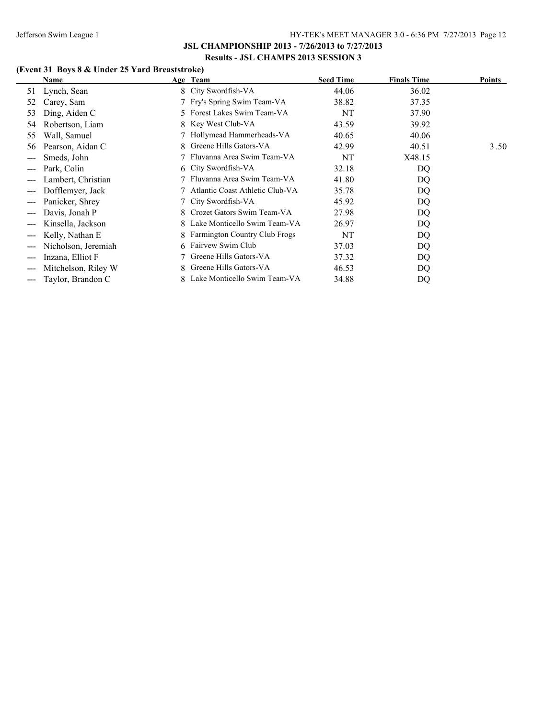# **(Event 31 Boys 8 & Under 25 Yard Breaststroke)**

|                                             | Name                |    | Age Team                             | <b>Seed Time</b> | <b>Finals Time</b> | <b>Points</b> |
|---------------------------------------------|---------------------|----|--------------------------------------|------------------|--------------------|---------------|
| 51                                          | Lynch, Sean         |    | 8 City Swordfish-VA                  | 44.06            | 36.02              |               |
| 52                                          | Carey, Sam          |    | 7 Fry's Spring Swim Team-VA          | 38.82            | 37.35              |               |
| 53                                          | Ding, Aiden C       | 5. | Forest Lakes Swim Team-VA            | NT               | 37.90              |               |
| 54                                          | Robertson, Liam     | 8. | Key West Club-VA                     | 43.59            | 39.92              |               |
| 55                                          | Wall, Samuel        |    | Hollymead Hammerheads-VA             | 40.65            | 40.06              |               |
| 56                                          | Pearson, Aidan C    | 8. | Greene Hills Gators-VA               | 42.99            | 40.51              | 3.50          |
| ---                                         | Smeds, John         |    | Fluvanna Area Swim Team-VA           | NT               | X48.15             |               |
| $\qquad \qquad -$                           | Park, Colin         |    | 6 City Swordfish-VA                  | 32.18            | DQ                 |               |
| $\qquad \qquad - -$                         | Lambert, Christian  |    | Fluvanna Area Swim Team-VA           | 41.80            | DQ                 |               |
| $\qquad \qquad -$                           | Dofflemyer, Jack    |    | Atlantic Coast Athletic Club-VA      | 35.78            | DQ                 |               |
| $\sim$ $\sim$ $\sim$                        | Panicker, Shrey     |    | City Swordfish-VA                    | 45.92            | DQ                 |               |
| $\qquad \qquad -$                           | Davis, Jonah P      | 8. | Crozet Gators Swim Team-VA           | 27.98            | DQ                 |               |
| $\qquad \qquad -$                           | Kinsella, Jackson   | 8. | Lake Monticello Swim Team-VA         | 26.97            | DQ                 |               |
| $\scriptstyle \cdots$ $\scriptstyle \cdots$ | Kelly, Nathan E     | 8. | <b>Farmington Country Club Frogs</b> | NT               | DQ                 |               |
| $\qquad \qquad - -$                         | Nicholson, Jeremiah |    | 6 Fairvew Swim Club                  | 37.03            | DQ                 |               |
| $\qquad \qquad -$                           | Inzana, Elliot F    |    | Greene Hills Gators-VA               | 37.32            | DQ                 |               |
| $---$                                       | Mitchelson, Riley W | 8. | Greene Hills Gators-VA               | 46.53            | DQ                 |               |
| ---                                         | Taylor, Brandon C   |    | Lake Monticello Swim Team-VA         | 34.88            | DQ                 |               |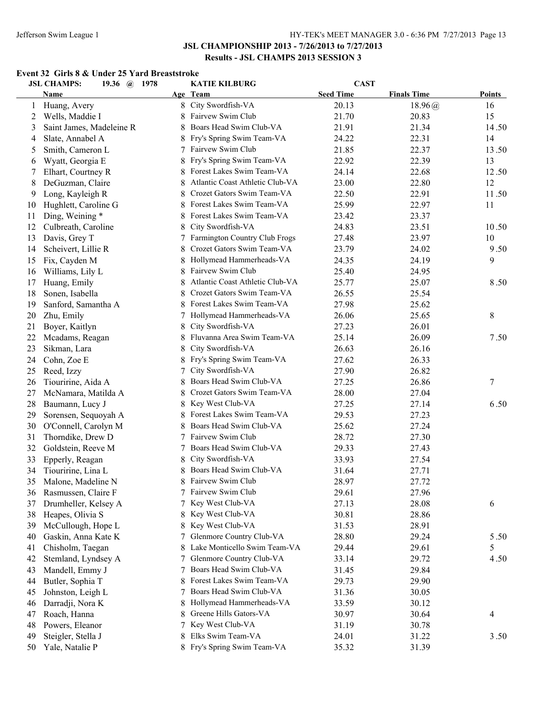#### **Event 32 Girls 8 & Under 25 Yard Breaststroke**

|    | <b>JSL CHAMPS:</b><br>19.36 @ 1978 |   | <b>KATIE KILBURG</b>            | <b>CAST</b>      |                    |               |
|----|------------------------------------|---|---------------------------------|------------------|--------------------|---------------|
|    | Name                               |   | Age Team                        | <b>Seed Time</b> | <b>Finals Time</b> | <b>Points</b> |
| 1  | Huang, Avery                       |   | 8 City Swordfish-VA             | 20.13            | 18.96(a)           | 16            |
| 2  | Wells, Maddie I                    | 8 | Fairvew Swim Club               | 21.70            | 20.83              | 15            |
| 3  | Saint James, Madeleine R           | 8 | Boars Head Swim Club-VA         | 21.91            | 21.34              | 14.50         |
| 4  | Slate, Annabel A                   |   | Fry's Spring Swim Team-VA       | 24.22            | 22.31              | 14            |
| 5  | Smith, Cameron L                   | 7 | Fairvew Swim Club               | 21.85            | 22.37              | 13.50         |
| 6  | Wyatt, Georgia E                   | 8 | Fry's Spring Swim Team-VA       | 22.92            | 22.39              | 13            |
| 7  | Elhart, Courtney R                 | 8 | Forest Lakes Swim Team-VA       | 24.14            | 22.68              | 12.50         |
| 8  | DeGuzman, Claire                   | 8 | Atlantic Coast Athletic Club-VA | 23.00            | 22.80              | 12            |
| 9  | Long, Kayleigh R                   | 8 | Crozet Gators Swim Team-VA      | 22.50            | 22.91              | 11.50         |
| 10 | Hughlett, Caroline G               | 8 | Forest Lakes Swim Team-VA       | 25.99            | 22.97              | 11            |
| 11 | Ding, Weining *                    | 8 | Forest Lakes Swim Team-VA       | 23.42            | 23.37              |               |
| 12 | Culbreath, Caroline                | 8 | City Swordfish-VA               | 24.83            | 23.51              | 10.50         |
| 13 | Davis, Grey T                      |   | Farmington Country Club Frogs   | 27.48            | 23.97              | 10            |
| 14 | Scheivert, Lillie R                | 8 | Crozet Gators Swim Team-VA      | 23.79            | 24.02              | 9.50          |
| 15 | Fix, Cayden M                      | 8 | Hollymead Hammerheads-VA        | 24.35            | 24.19              | 9             |
| 16 | Williams, Lily L                   | 8 | Fairvew Swim Club               | 25.40            | 24.95              |               |
| 17 | Huang, Emily                       | 8 | Atlantic Coast Athletic Club-VA | 25.77            | 25.07              | 8.50          |
| 18 | Sonen, Isabella                    | 8 | Crozet Gators Swim Team-VA      | 26.55            | 25.54              |               |
| 19 | Sanford, Samantha A                | 8 | Forest Lakes Swim Team-VA       | 27.98            | 25.62              |               |
| 20 | Zhu, Emily                         | 7 | Hollymead Hammerheads-VA        | 26.06            | 25.65              | 8             |
| 21 | Boyer, Kaitlyn                     | 8 | City Swordfish-VA               | 27.23            | 26.01              |               |
| 22 | Mcadams, Reagan                    | 8 | Fluvanna Area Swim Team-VA      | 25.14            | 26.09              | 7.50          |
| 23 | Sikman, Lara                       | 8 | City Swordfish-VA               | 26.63            | 26.16              |               |
| 24 | Cohn, Zoe E                        | 8 | Fry's Spring Swim Team-VA       | 27.62            | 26.33              |               |
| 25 | Reed, Izzy                         | 7 | City Swordfish-VA               | 27.90            | 26.82              |               |
| 26 | Tiouririne, Aida A                 | 8 | Boars Head Swim Club-VA         | 27.25            | 26.86              | 7             |
| 27 | McNamara, Matilda A                | 8 | Crozet Gators Swim Team-VA      | 28.00            | 27.04              |               |
| 28 | Baumann, Lucy J                    | 8 | Key West Club-VA                | 27.25            | 27.14              | 6.50          |
| 29 | Sorensen, Sequoyah A               | 8 | Forest Lakes Swim Team-VA       | 29.53            | 27.23              |               |
| 30 | O'Connell, Carolyn M               | 8 | Boars Head Swim Club-VA         | 25.62            | 27.24              |               |
| 31 | Thorndike, Drew D                  |   | 7 Fairvew Swim Club             | 28.72            | 27.30              |               |
| 32 | Goldstein, Reeve M                 |   | Boars Head Swim Club-VA         | 29.33            | 27.43              |               |
| 33 | Epperly, Reagan                    | 8 | City Swordfish-VA               | 33.93            | 27.54              |               |
| 34 | Tiouririne, Lina L                 |   | Boars Head Swim Club-VA         | 31.64            | 27.71              |               |
| 35 | Malone, Madeline N                 | 8 | Fairvew Swim Club               | 28.97            | 27.72              |               |
| 36 | Rasmussen, Claire F                |   | Fairvew Swim Club               | 29.61            | 27.96              |               |
| 37 | Drumheller, Kelsey A               |   | Key West Club-VA                | 27.13            | 28.08              | 6             |
| 38 | Heapes, Olivia S                   | 8 | Key West Club-VA                | 30.81            | 28.86              |               |
| 39 | McCullough, Hope L                 | 8 | Key West Club-VA                | 31.53            | 28.91              |               |
| 40 | Gaskin, Anna Kate K                |   | Glenmore Country Club-VA        | 28.80            | 29.24              | 5.50          |
| 41 | Chisholm, Taegan                   | 8 | Lake Monticello Swim Team-VA    | 29.44            | 29.61              | 5             |
| 42 | Stemland, Lyndsey A                |   | Glenmore Country Club-VA        | 33.14            | 29.72              | 4.50          |
| 43 | Mandell, Emmy J                    |   | Boars Head Swim Club-VA         | 31.45            | 29.84              |               |
| 44 | Butler, Sophia T                   | 8 | Forest Lakes Swim Team-VA       | 29.73            | 29.90              |               |
| 45 | Johnston, Leigh L                  |   | Boars Head Swim Club-VA         | 31.36            | 30.05              |               |
| 46 | Darradji, Nora K                   | 8 | Hollymead Hammerheads-VA        | 33.59            | 30.12              |               |
| 47 | Roach, Hanna                       | 8 | Greene Hills Gators-VA          | 30.97            | 30.64              | 4             |
| 48 | Powers, Eleanor                    |   | Key West Club-VA                | 31.19            | 30.78              |               |
| 49 | Steigler, Stella J                 | 8 | Elks Swim Team-VA               | 24.01            | 31.22              | 3.50          |
| 50 | Yale, Natalie P                    |   | 8 Fry's Spring Swim Team-VA     | 35.32            | 31.39              |               |
|    |                                    |   |                                 |                  |                    |               |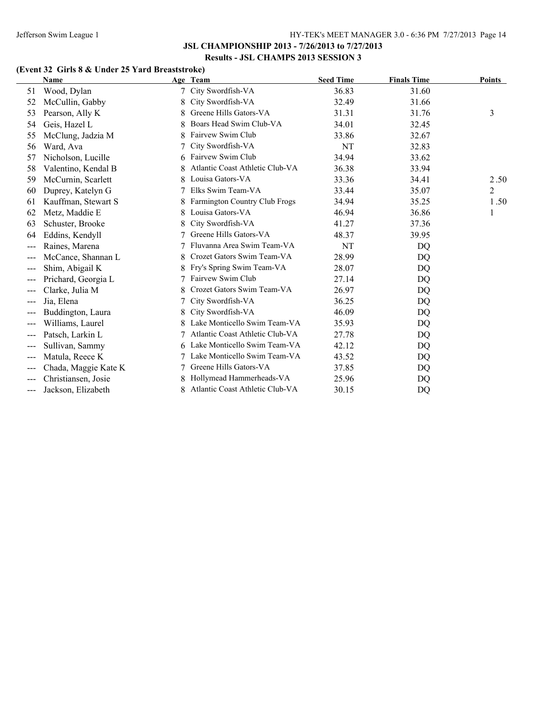# **(Event 32 Girls 8 & Under 25 Yard Breaststroke)**

|       | Name                 |   | Age Team                        | <b>Seed Time</b> | <b>Finals Time</b> | <b>Points</b>  |
|-------|----------------------|---|---------------------------------|------------------|--------------------|----------------|
| 51    | Wood, Dylan          |   | City Swordfish-VA               | 36.83            | 31.60              |                |
| 52    | McCullin, Gabby      | 8 | City Swordfish-VA               | 32.49            | 31.66              |                |
| 53    | Pearson, Ally K      |   | Greene Hills Gators-VA          | 31.31            | 31.76              | 3              |
| 54    | Geis, Hazel L        | 8 | Boars Head Swim Club-VA         | 34.01            | 32.45              |                |
| 55    | McClung, Jadzia M    | 8 | Fairvew Swim Club               | 33.86            | 32.67              |                |
| 56    | Ward, Ava            |   | City Swordfish-VA               | NT               | 32.83              |                |
| 57    | Nicholson, Lucille   | 6 | Fairvew Swim Club               | 34.94            | 33.62              |                |
| 58    | Valentino, Kendal B  |   | Atlantic Coast Athletic Club-VA | 36.38            | 33.94              |                |
| 59    | McCurnin, Scarlett   |   | Louisa Gators-VA                | 33.36            | 34.41              | 2.50           |
| 60    | Duprey, Katelyn G    |   | Elks Swim Team-VA               | 33.44            | 35.07              | $\overline{c}$ |
| 61    | Kauffman, Stewart S  | 8 | Farmington Country Club Frogs   | 34.94            | 35.25              | 1.50           |
| 62    | Metz, Maddie E       |   | Louisa Gators-VA                | 46.94            | 36.86              | 1              |
| 63    | Schuster, Brooke     |   | City Swordfish-VA               | 41.27            | 37.36              |                |
| 64    | Eddins, Kendyll      |   | Greene Hills Gators-VA          | 48.37            | 39.95              |                |
| $---$ | Raines, Marena       |   | Fluvanna Area Swim Team-VA      | NT               | DQ                 |                |
| $---$ | McCance, Shannan L   | 8 | Crozet Gators Swim Team-VA      | 28.99            | DQ                 |                |
|       | Shim, Abigail K      |   | Fry's Spring Swim Team-VA       | 28.07            | DQ                 |                |
| $---$ | Prichard, Georgia L  |   | Fairvew Swim Club               | 27.14            | DQ                 |                |
| $---$ | Clarke, Julia M      |   | Crozet Gators Swim Team-VA      | 26.97            | DQ                 |                |
|       | Jia, Elena           |   | City Swordfish-VA               | 36.25            | DQ                 |                |
| $---$ | Buddington, Laura    | 8 | City Swordfish-VA               | 46.09            | DQ                 |                |
| ---   | Williams, Laurel     |   | Lake Monticello Swim Team-VA    | 35.93            | DQ                 |                |
|       | Patsch, Larkin L     |   | Atlantic Coast Athletic Club-VA | 27.78            | DQ                 |                |
| $---$ | Sullivan, Sammy      | 6 | Lake Monticello Swim Team-VA    | 42.12            | DQ                 |                |
| ---   | Matula, Reece K      |   | Lake Monticello Swim Team-VA    | 43.52            | DQ                 |                |
| $---$ | Chada, Maggie Kate K |   | Greene Hills Gators-VA          | 37.85            | DQ                 |                |
|       | Christiansen, Josie  |   | Hollymead Hammerheads-VA        | 25.96            | DQ                 |                |
| ---   | Jackson, Elizabeth   |   | Atlantic Coast Athletic Club-VA | 30.15            | DQ                 |                |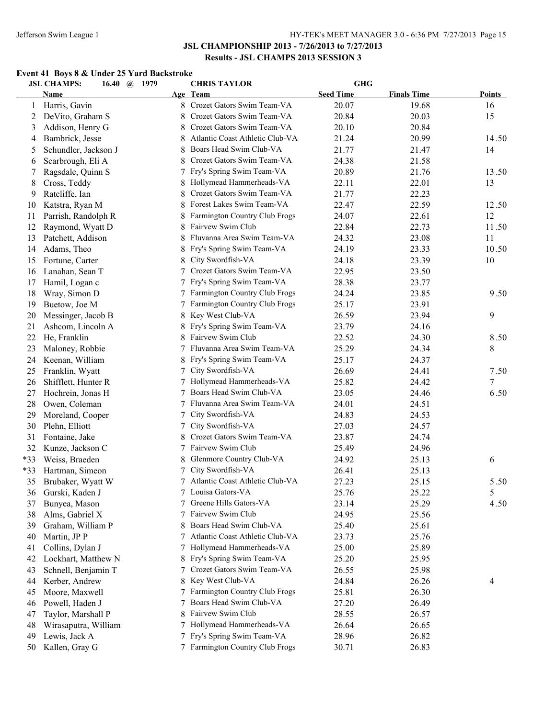#### **Event 41 Boys 8 & Under 25 Yard Backstroke**

|       | <b>JSL CHAMPS:</b><br>16.40 $\omega$ | 1979 | <b>CHRIS TAYLOR</b>             | <b>GHG</b>       |                    |               |
|-------|--------------------------------------|------|---------------------------------|------------------|--------------------|---------------|
|       | <b>Name</b>                          |      | Age Team                        | <b>Seed Time</b> | <b>Finals Time</b> | <b>Points</b> |
| 1     | Harris, Gavin                        |      | 8 Crozet Gators Swim Team-VA    | 20.07            | 19.68              | 16            |
| 2     | DeVito, Graham S                     | 8    | Crozet Gators Swim Team-VA      | 20.84            | 20.03              | 15            |
| 3     | Addison, Henry G                     | 8    | Crozet Gators Swim Team-VA      | 20.10            | 20.84              |               |
| 4     | Bambrick, Jesse                      | 8    | Atlantic Coast Athletic Club-VA | 21.24            | 20.99              | 14.50         |
| 5     | Schundler, Jackson J                 | 8    | Boars Head Swim Club-VA         | 21.77            | 21.47              | 14            |
| 6     | Scarbrough, Eli A                    | 8    | Crozet Gators Swim Team-VA      | 24.38            | 21.58              |               |
| 7     | Ragsdale, Quinn S                    | 7    | Fry's Spring Swim Team-VA       | 20.89            | 21.76              | 13.50         |
| 8     | Cross, Teddy                         | 8    | Hollymead Hammerheads-VA        | 22.11            | 22.01              | 13            |
| 9     | Ratcliffe, Ian                       | 8    | Crozet Gators Swim Team-VA      | 21.77            | 22.23              |               |
| 10    | Katstra, Ryan M                      |      | Forest Lakes Swim Team-VA       | 22.47            | 22.59              | 12.50         |
| 11    | Parrish, Randolph R                  |      | Farmington Country Club Frogs   | 24.07            | 22.61              | 12            |
| 12    | Raymond, Wyatt D                     |      | Fairvew Swim Club               | 22.84            | 22.73              | 11.50         |
| 13    | Patchett, Addison                    |      | Fluvanna Area Swim Team-VA      | 24.32            | 23.08              | 11            |
| 14    | Adams, Theo                          |      | Fry's Spring Swim Team-VA       | 24.19            | 23.33              | 10.50         |
| 15    | Fortune, Carter                      |      | City Swordfish-VA               | 24.18            | 23.39              | 10            |
| 16    | Lanahan, Sean T                      | 7    | Crozet Gators Swim Team-VA      | 22.95            | 23.50              |               |
| 17    | Hamil, Logan c                       |      | Fry's Spring Swim Team-VA       | 28.38            | 23.77              |               |
| 18    | Wray, Simon D                        |      | Farmington Country Club Frogs   | 24.24            | 23.85              | 9.50          |
| 19    | Buetow, Joe M                        |      | Farmington Country Club Frogs   | 25.17            | 23.91              |               |
| 20    | Messinger, Jacob B                   |      | Key West Club-VA                | 26.59            | 23.94              | 9             |
| 21    | Ashcom, Lincoln A                    |      | Fry's Spring Swim Team-VA       | 23.79            | 24.16              |               |
| 22    | He, Franklin                         |      | Fairvew Swim Club               | 22.52            | 24.30              | 8.50          |
| 23    | Maloney, Robbie                      |      | Fluvanna Area Swim Team-VA      | 25.29            | 24.34              | 8             |
| 24    | Keenan, William                      |      | Fry's Spring Swim Team-VA       | 25.17            | 24.37              |               |
| 25    | Franklin, Wyatt                      | 7    | City Swordfish-VA               | 26.69            | 24.41              | 7.50          |
| 26    | Shifflett, Hunter R                  | 7    | Hollymead Hammerheads-VA        | 25.82            | 24.42              | 7             |
| 27    | Hochrein, Jonas H                    | 7    | Boars Head Swim Club-VA         | 23.05            | 24.46              | 6.50          |
| 28    | Owen, Coleman                        | 7    | Fluvanna Area Swim Team-VA      | 24.01            | 24.51              |               |
| 29    | Moreland, Cooper                     | 7    | City Swordfish-VA               | 24.83            | 24.53              |               |
| 30    | Plehn, Elliott                       | 7    | City Swordfish-VA               | 27.03            | 24.57              |               |
| 31    | Fontaine, Jake                       | 8    | Crozet Gators Swim Team-VA      | 23.87            | 24.74              |               |
| 32    | Kunze, Jackson C                     |      | Fairvew Swim Club               | 25.49            | 24.96              |               |
| $*33$ | Weiss, Braeden                       | 8    | Glenmore Country Club-VA        | 24.92            | 25.13              | 6             |
| $*33$ | Hartman, Simeon                      |      | City Swordfish-VA               | 26.41            | 25.13              |               |
| 35    | Brubaker, Wyatt W                    | 7    | Atlantic Coast Athletic Club-VA | 27.23            | 25.15              | 5.50          |
| 36    | Gurski, Kaden J                      |      | 7 Louisa Gators-VA              | 25.76            | 25.22              | 5             |
| 37    | Bunyea, Mason                        | 7    | Greene Hills Gators-VA          | 23.14            | 25.29              | 4.50          |
| 38    | Alms, Gabriel X                      | 7    | Fairvew Swim Club               | 24.95            | 25.56              |               |
| 39    | Graham, William P                    | 8    | Boars Head Swim Club-VA         | 25.40            | 25.61              |               |
| 40    | Martin, JP P                         |      | Atlantic Coast Athletic Club-VA | 23.73            | 25.76              |               |
| 41    | Collins, Dylan J                     | 7    | Hollymead Hammerheads-VA        | 25.00            | 25.89              |               |
| 42    | Lockhart, Matthew N                  | 8    | Fry's Spring Swim Team-VA       | 25.20            | 25.95              |               |
| 43    | Schnell, Benjamin T                  | 7    | Crozet Gators Swim Team-VA      | 26.55            | 25.98              |               |
| 44    | Kerber, Andrew                       | 8    | Key West Club-VA                | 24.84            | 26.26              | 4             |
| 45    | Moore, Maxwell                       | 7    | Farmington Country Club Frogs   | 25.81            | 26.30              |               |
| 46    | Powell, Haden J                      |      | Boars Head Swim Club-VA         | 27.20            | 26.49              |               |
| 47    | Taylor, Marshall P                   |      | Fairvew Swim Club               | 28.55            | 26.57              |               |
| 48    | Wirasaputra, William                 |      | Hollymead Hammerheads-VA        | 26.64            | 26.65              |               |
| 49    | Lewis, Jack A                        |      | Fry's Spring Swim Team-VA       | 28.96            | 26.82              |               |
| 50    | Kallen, Gray G                       |      | Farmington Country Club Frogs   | 30.71            | 26.83              |               |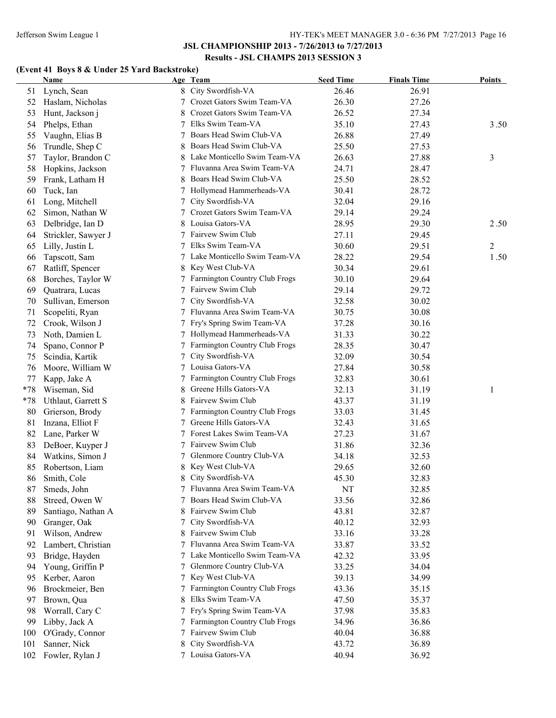# **(Event 41 Boys 8 & Under 25 Yard Backstroke)**

|       | Name                |   | Age Team                        | <b>Seed Time</b> | <b>Finals Time</b> | <b>Points</b> |
|-------|---------------------|---|---------------------------------|------------------|--------------------|---------------|
| 51    | Lynch, Sean         |   | 8 City Swordfish-VA             | 26.46            | 26.91              |               |
| 52    | Haslam, Nicholas    |   | Crozet Gators Swim Team-VA      | 26.30            | 27.26              |               |
| 53    | Hunt, Jackson j     |   | Crozet Gators Swim Team-VA      | 26.52            | 27.34              |               |
| 54    | Phelps, Ethan       |   | Elks Swim Team-VA               | 35.10            | 27.43              | 3.50          |
| 55    | Vaughn, Elias B     |   | Boars Head Swim Club-VA         | 26.88            | 27.49              |               |
| 56    | Trundle, Shep C     |   | Boars Head Swim Club-VA         | 25.50            | 27.53              |               |
| 57    | Taylor, Brandon C   |   | Lake Monticello Swim Team-VA    | 26.63            | 27.88              | 3             |
| 58    | Hopkins, Jackson    |   | Fluvanna Area Swim Team-VA      | 24.71            | 28.47              |               |
| 59    | Frank, Latham H     |   | Boars Head Swim Club-VA         | 25.50            | 28.52              |               |
| 60    | Tuck, Ian           |   | Hollymead Hammerheads-VA        | 30.41            | 28.72              |               |
| 61    | Long, Mitchell      |   | City Swordfish-VA               | 32.04            | 29.16              |               |
| 62    | Simon, Nathan W     |   | Crozet Gators Swim Team-VA      | 29.14            | 29.24              |               |
| 63    | Delbridge, Ian D    |   | Louisa Gators-VA                | 28.95            | 29.30              | 2.50          |
| 64    | Strickler, Sawyer J |   | 7 Fairvew Swim Club             | 27.11            | 29.45              |               |
| 65    | Lilly, Justin L     |   | 7 Elks Swim Team-VA             | 30.60            | 29.51              | 2             |
| 66    | Tapscott, Sam       |   | 7 Lake Monticello Swim Team-VA  | 28.22            | 29.54              | 1.50          |
| 67    | Ratliff, Spencer    |   | 8 Key West Club-VA              | 30.34            | 29.61              |               |
| 68    | Borches, Taylor W   |   | 7 Farmington Country Club Frogs | 30.10            | 29.64              |               |
| 69    | Quatrara, Lucas     | 7 | Fairvew Swim Club               | 29.14            | 29.72              |               |
| 70    | Sullivan, Emerson   | 7 | City Swordfish-VA               | 32.58            | 30.02              |               |
| 71    | Scopeliti, Ryan     | 7 | Fluvanna Area Swim Team-VA      | 30.75            | 30.08              |               |
| 72    | Crook, Wilson J     |   | Fry's Spring Swim Team-VA       | 37.28            | 30.16              |               |
| 73    |                     |   | 7 Hollymead Hammerheads-VA      | 31.33            | 30.22              |               |
|       | Noth, Damien L      | 7 | Farmington Country Club Frogs   | 28.35            | 30.47              |               |
| 74    | Spano, Connor P     | 7 | City Swordfish-VA               |                  |                    |               |
| 75    | Scindia, Kartik     |   | 7 Louisa Gators-VA              | 32.09            | 30.54              |               |
| 76    | Moore, William W    |   |                                 | 27.84            | 30.58              |               |
| 77    | Kapp, Jake A        |   | Farmington Country Club Frogs   | 32.83            | 30.61              |               |
| $*78$ | Wiseman, Sid        | 8 | Greene Hills Gators-VA          | 32.13            | 31.19              | 1             |
| $*78$ | Uthlaut, Garrett S  | 8 | Fairvew Swim Club               | 43.37            | 31.19              |               |
| 80    | Grierson, Brody     |   | 7 Farmington Country Club Frogs | 33.03            | 31.45              |               |
| 81    | Inzana, Elliot F    |   | Greene Hills Gators-VA          | 32.43            | 31.65              |               |
| 82    | Lane, Parker W      |   | 7 Forest Lakes Swim Team-VA     | 27.23            | 31.67              |               |
| 83    | DeBoer, Kuyper J    |   | 7 Fairvew Swim Club             | 31.86            | 32.36              |               |
| 84    | Watkins, Simon J    | 7 | Glenmore Country Club-VA        | 34.18            | 32.53              |               |
| 85    | Robertson, Liam     |   | Key West Club-VA                | 29.65            | 32.60              |               |
| 86    | Smith, Cole         | 8 | City Swordfish-VA               | 45.30            | 32.83              |               |
| 87    | Smeds, John         |   | 7 Fluvanna Area Swim Team-VA    | NT               | 32.85              |               |
| 88    | Streed, Owen W      |   | Boars Head Swim Club-VA         | 33.56            | 32.86              |               |
| 89    | Santiago, Nathan A  |   | Fairvew Swim Club               | 43.81            | 32.87              |               |
| 90    | Granger, Oak        |   | City Swordfish-VA               | 40.12            | 32.93              |               |
| 91    | Wilson, Andrew      |   | Fairvew Swim Club               | 33.16            | 33.28              |               |
| 92    | Lambert, Christian  |   | 7 Fluvanna Area Swim Team-VA    | 33.87            | 33.52              |               |
| 93    | Bridge, Hayden      |   | 7 Lake Monticello Swim Team-VA  | 42.32            | 33.95              |               |
| 94    | Young, Griffin P    |   | 7 Glenmore Country Club-VA      | 33.25            | 34.04              |               |
| 95    | Kerber, Aaron       |   | 7 Key West Club-VA              | 39.13            | 34.99              |               |
| 96    | Brockmeier, Ben     |   | 7 Farmington Country Club Frogs | 43.36            | 35.15              |               |
| 97    | Brown, Qua          | 8 | Elks Swim Team-VA               | 47.50            | 35.37              |               |
| 98    | Worrall, Cary C     |   | 7 Fry's Spring Swim Team-VA     | 37.98            | 35.83              |               |
| 99    | Libby, Jack A       |   | 7 Farmington Country Club Frogs | 34.96            | 36.86              |               |
| 100   | O'Grady, Connor     | 7 | Fairvew Swim Club               | 40.04            | 36.88              |               |
| 101   | Sanner, Nick        | 8 | City Swordfish-VA               | 43.72            | 36.89              |               |
| 102   | Fowler, Rylan J     |   | 7 Louisa Gators-VA              | 40.94            | 36.92              |               |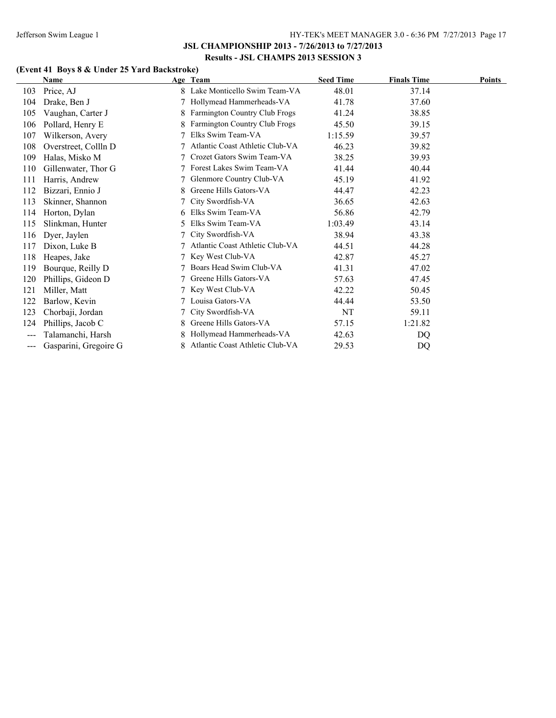# **(Event 41 Boys 8 & Under 25 Yard Backstroke)**

|       | Name                  |    | Age Team                        | <b>Seed Time</b> | <b>Finals Time</b> | <b>Points</b> |
|-------|-----------------------|----|---------------------------------|------------------|--------------------|---------------|
| 103   | Price, AJ             |    | Lake Monticello Swim Team-VA    | 48.01            | 37.14              |               |
| 104   | Drake, Ben J          |    | Hollymead Hammerheads-VA        | 41.78            | 37.60              |               |
| 105   | Vaughan, Carter J     | 8. | Farmington Country Club Frogs   | 41.24            | 38.85              |               |
| 106   | Pollard, Henry E      |    | Farmington Country Club Frogs   | 45.50            | 39.15              |               |
| 107   | Wilkerson, Avery      |    | Elks Swim Team-VA               | 1:15.59          | 39.57              |               |
| 108   | Overstreet, Collln D  |    | Atlantic Coast Athletic Club-VA | 46.23            | 39.82              |               |
| 109   | Halas, Misko M        |    | Crozet Gators Swim Team-VA      | 38.25            | 39.93              |               |
| 110   | Gillenwater, Thor G   |    | Forest Lakes Swim Team-VA       | 41.44            | 40.44              |               |
| 111   | Harris, Andrew        |    | Glenmore Country Club-VA        | 45.19            | 41.92              |               |
| 112   | Bizzari, Ennio J      |    | Greene Hills Gators-VA          | 44.47            | 42.23              |               |
| 113   | Skinner, Shannon      |    | City Swordfish-VA               | 36.65            | 42.63              |               |
| 114   | Horton, Dylan         | 6. | Elks Swim Team-VA               | 56.86            | 42.79              |               |
| 115   | Slinkman, Hunter      | 5  | Elks Swim Team-VA               | 1:03.49          | 43.14              |               |
| 116   | Dyer, Jaylen          |    | City Swordfish-VA               | 38.94            | 43.38              |               |
| 117   | Dixon, Luke B         |    | Atlantic Coast Athletic Club-VA | 44.51            | 44.28              |               |
| 118   | Heapes, Jake          |    | Key West Club-VA                | 42.87            | 45.27              |               |
| 119   | Bourque, Reilly D     |    | Boars Head Swim Club-VA         | 41.31            | 47.02              |               |
| 120   | Phillips, Gideon D    |    | Greene Hills Gators-VA          | 57.63            | 47.45              |               |
| 121   | Miller, Matt          |    | Key West Club-VA                | 42.22            | 50.45              |               |
| 122   | Barlow, Kevin         |    | Louisa Gators-VA                | 44.44            | 53.50              |               |
| 123   | Chorbaji, Jordan      |    | City Swordfish-VA               | NT               | 59.11              |               |
| 124   | Phillips, Jacob C     | 8. | Greene Hills Gators-VA          | 57.15            | 1:21.82            |               |
| $---$ | Talamanchi, Harsh     |    | Hollymead Hammerheads-VA        | 42.63            | DQ                 |               |
| ---   | Gasparini, Gregoire G |    | Atlantic Coast Athletic Club-VA | 29.53            | DQ                 |               |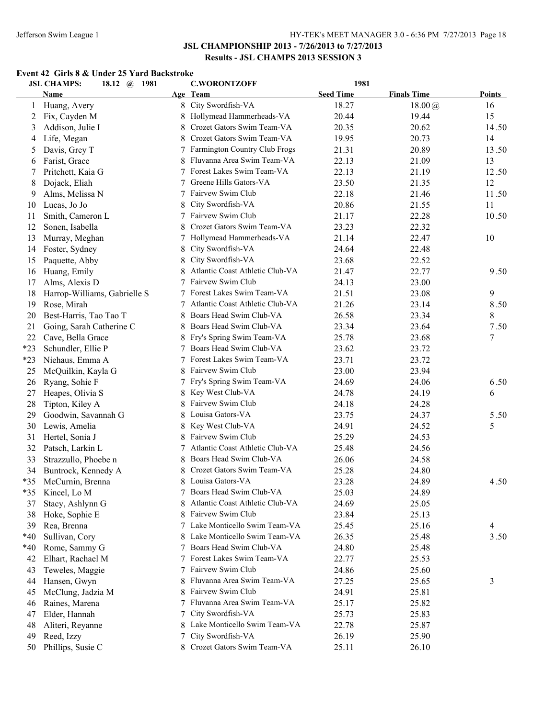#### **Event 42 Girls 8 & Under 25 Yard Backstroke**

|       | <b>JSL CHAMPS:</b><br>18.12 $\omega$<br>1981 |    | <b>C.WORONTZOFF</b>             | 1981             |                    |               |
|-------|----------------------------------------------|----|---------------------------------|------------------|--------------------|---------------|
|       | Name                                         |    | Age Team                        | <b>Seed Time</b> | <b>Finals Time</b> | <b>Points</b> |
| 1     | Huang, Avery                                 | 8  | City Swordfish-VA               | 18.27            | $18.00\,(a)$       | 16            |
| 2     | Fix, Cayden M                                | 8  | Hollymead Hammerheads-VA        | 20.44            | 19.44              | 15            |
| 3     | Addison, Julie I                             | 8  | Crozet Gators Swim Team-VA      | 20.35            | 20.62              | 14.50         |
| 4     | Life, Megan                                  | 8  | Crozet Gators Swim Team-VA      | 19.95            | 20.73              | 14            |
| 5     | Davis, Grey T                                | 7  | Farmington Country Club Frogs   | 21.31            | 20.89              | 13.50         |
| 6     | Farist, Grace                                | 8  | Fluvanna Area Swim Team-VA      | 22.13            | 21.09              | 13            |
| 7     | Pritchett, Kaia G                            |    | Forest Lakes Swim Team-VA       | 22.13            | 21.19              | 12.50         |
| 8     | Dojack, Eliah                                |    | Greene Hills Gators-VA          | 23.50            | 21.35              | 12            |
| 9     | Alms, Melissa N                              | 7  | Fairvew Swim Club               | 22.18            | 21.46              | 11.50         |
| 10    | Lucas, Jo Jo                                 | 8  | City Swordfish-VA               | 20.86            | 21.55              | 11            |
| 11    | Smith, Cameron L                             |    | Fairvew Swim Club               | 21.17            | 22.28              | 10.50         |
| 12    | Sonen, Isabella                              |    | Crozet Gators Swim Team-VA      | 23.23            | 22.32              |               |
| 13    | Murray, Meghan                               | 7  | Hollymead Hammerheads-VA        | 21.14            | 22.47              | 10            |
| 14    | Foster, Sydney                               | 8  | City Swordfish-VA               | 24.64            | 22.48              |               |
| 15    | Paquette, Abby                               |    | City Swordfish-VA               | 23.68            | 22.52              |               |
| 16    | Huang, Emily                                 |    | Atlantic Coast Athletic Club-VA | 21.47            | 22.77              | 9.50          |
| 17    | Alms, Alexis D                               |    | Fairvew Swim Club               | 24.13            | 23.00              |               |
| 18    | Harrop-Williams, Gabrielle S                 |    | Forest Lakes Swim Team-VA       | 21.51            | 23.08              | 9             |
| 19    | Rose, Mirah                                  |    | Atlantic Coast Athletic Club-VA | 21.26            | 23.14              | 8.50          |
| 20    | Best-Harris, Tao Tao T                       |    | Boars Head Swim Club-VA         | 26.58            | 23.34              | 8             |
| 21    | Going, Sarah Catherine C                     |    | Boars Head Swim Club-VA         | 23.34            | 23.64              | 7.50          |
| 22    | Cave, Bella Grace                            |    | Fry's Spring Swim Team-VA       | 25.78            | 23.68              | 7             |
| $*23$ | Schundler, Ellie P                           |    | Boars Head Swim Club-VA         | 23.62            | 23.72              |               |
| $*23$ | Niehaus, Emma A                              | 7  | Forest Lakes Swim Team-VA       | 23.71            | 23.72              |               |
| 25    | McQuilkin, Kayla G                           |    | Fairvew Swim Club               | 23.00            | 23.94              |               |
| 26    | Ryang, Sohie F                               | 7  | Fry's Spring Swim Team-VA       | 24.69            | 24.06              | 6.50          |
| 27    | Heapes, Olivia S                             | 8  | Key West Club-VA                | 24.78            | 24.19              | 6             |
| 28    | Tipton, Kiley A                              | 8  | Fairvew Swim Club               | 24.18            | 24.28              |               |
|       |                                              |    | Louisa Gators-VA                |                  | 24.37              | 5.50          |
| 29    | Goodwin, Savannah G                          | 8  | Key West Club-VA                | 23.75            |                    |               |
| 30    | Lewis, Amelia                                | 8  | Fairvew Swim Club               | 24.91            | 24.52              | 5             |
| 31    | Hertel, Sonia J                              | 8  | Atlantic Coast Athletic Club-VA | 25.29            | 24.53              |               |
| 32    | Patsch, Larkin L                             | 7  |                                 | 25.48            | 24.56              |               |
| 33    | Strazzullo, Phoebe n                         | 8. | Boars Head Swim Club-VA         | 26.06            | 24.58              |               |
| 34    | Buntrock, Kennedy A                          | 8  | Crozet Gators Swim Team-VA      | 25.28            | 24.80              |               |
| $*35$ | McCurnin, Brenna                             |    | 8 Louisa Gators-VA              | 23.28            | 24.89              | 4.50          |
| $*35$ | Kincel, Lo M                                 | 7  | Boars Head Swim Club-VA         | 25.03            | 24.89              |               |
| 37    | Stacy, Ashlynn G                             |    | Atlantic Coast Athletic Club-VA | 24.69            | 25.05              |               |
| 38    | Hoke, Sophie E                               |    | Fairvew Swim Club               | 23.84            | 25.13              |               |
| 39    | Rea, Brenna                                  | 7  | Lake Monticello Swim Team-VA    | 25.45            | 25.16              | 4             |
| $*40$ | Sullivan, Cory                               |    | Lake Monticello Swim Team-VA    | 26.35            | 25.48              | 3.50          |
| $*40$ | Rome, Sammy G                                |    | Boars Head Swim Club-VA         | 24.80            | 25.48              |               |
| 42    | Elhart, Rachael M                            | 7  | Forest Lakes Swim Team-VA       | 22.77            | 25.53              |               |
| 43    | Teweles, Maggie                              | 7  | Fairvew Swim Club               | 24.86            | 25.60              |               |
| 44    | Hansen, Gwyn                                 |    | Fluvanna Area Swim Team-VA      | 27.25            | 25.65              | 3             |
| 45    | McClung, Jadzia M                            |    | Fairvew Swim Club               | 24.91            | 25.81              |               |
| 46    | Raines, Marena                               |    | Fluvanna Area Swim Team-VA      | 25.17            | 25.82              |               |
| 47    | Elder, Hannah                                |    | City Swordfish-VA               | 25.73            | 25.83              |               |
| 48    | Aliteri, Reyanne                             |    | Lake Monticello Swim Team-VA    | 22.78            | 25.87              |               |
| 49    | Reed, Izzy                                   |    | City Swordfish-VA               | 26.19            | 25.90              |               |
| 50    | Phillips, Susie C                            |    | 8 Crozet Gators Swim Team-VA    | 25.11            | 26.10              |               |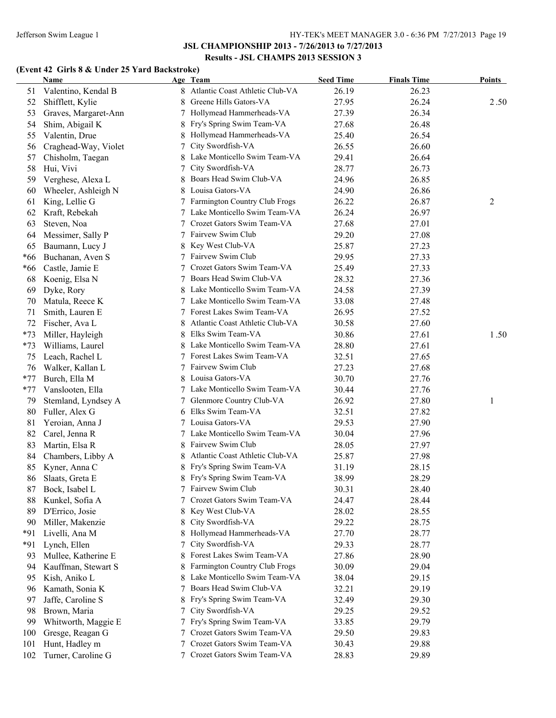#### **(Event 42 Girls 8 & Under 25 Yard Backstroke)**

|       | <b>Name</b>          |                 | Age Team                        | <b>Seed Time</b> | <b>Finals Time</b> | <b>Points</b> |
|-------|----------------------|-----------------|---------------------------------|------------------|--------------------|---------------|
| 51    | Valentino, Kendal B  |                 | Atlantic Coast Athletic Club-VA | 26.19            | 26.23              |               |
| 52    | Shifflett, Kylie     | 8               | Greene Hills Gators-VA          | 27.95            | 26.24              | 2.50          |
| 53    | Graves, Margaret-Ann |                 | 7 Hollymead Hammerheads-VA      | 27.39            | 26.34              |               |
| 54    | Shim, Abigail K      |                 | Fry's Spring Swim Team-VA       | 27.68            | 26.48              |               |
| 55    | Valentin, Drue       |                 | Hollymead Hammerheads-VA        | 25.40            | 26.54              |               |
| 56    | Craghead-Way, Violet |                 | City Swordfish-VA               | 26.55            | 26.60              |               |
| 57    | Chisholm, Taegan     |                 | Lake Monticello Swim Team-VA    | 29.41            | 26.64              |               |
| 58    | Hui, Vivi            |                 | City Swordfish-VA               | 28.77            | 26.73              |               |
| 59    | Verghese, Alexa L    | 8               | Boars Head Swim Club-VA         | 24.96            | 26.85              |               |
| 60    | Wheeler, Ashleigh N  | 8               | Louisa Gators-VA                | 24.90            | 26.86              |               |
| 61    | King, Lellie G       |                 | 7 Farmington Country Club Frogs | 26.22            | 26.87              | 2             |
| 62    | Kraft, Rebekah       |                 | 7 Lake Monticello Swim Team-VA  | 26.24            | 26.97              |               |
| 63    | Steven, Noa          |                 | 7 Crozet Gators Swim Team-VA    | 27.68            | 27.01              |               |
| 64    | Messimer, Sally P    |                 | 7 Fairvew Swim Club             | 29.20            | 27.08              |               |
| 65    | Baumann, Lucy J      | 8               | Key West Club-VA                | 25.87            | 27.23              |               |
| *66   | Buchanan, Aven S     |                 | 7 Fairvew Swim Club             | 29.95            | 27.33              |               |
| *66   | Castle, Jamie E      |                 | 7 Crozet Gators Swim Team-VA    | 25.49            | 27.33              |               |
| 68    | Koenig, Elsa N       | 7               | Boars Head Swim Club-VA         | 28.32            | 27.36              |               |
| 69    | Dyke, Rory           | 8               | Lake Monticello Swim Team-VA    | 24.58            | 27.39              |               |
| 70    | Matula, Reece K      |                 | 7 Lake Monticello Swim Team-VA  | 33.08            | 27.48              |               |
| 71    | Smith, Lauren E      |                 | 7 Forest Lakes Swim Team-VA     | 26.95            | 27.52              |               |
| 72    | Fischer, Ava L       | 8               | Atlantic Coast Athletic Club-VA | 30.58            | 27.60              |               |
| $*73$ | Miller, Hayleigh     | 8               | Elks Swim Team-VA               | 30.86            | 27.61              | 1.50          |
| $*73$ | Williams, Laurel     | 8.              | Lake Monticello Swim Team-VA    | 28.80            | 27.61              |               |
| 75    | Leach, Rachel L      |                 | 7 Forest Lakes Swim Team-VA     | 32.51            | 27.65              |               |
| 76    | Walker, Kallan L     |                 | 7 Fairvew Swim Club             | 27.23            | 27.68              |               |
| $*77$ | Burch, Ella M        |                 | Louisa Gators-VA                | 30.70            | 27.76              |               |
| $*77$ | Vanslooten, Ella     |                 | 7 Lake Monticello Swim Team-VA  | 30.44            | 27.76              |               |
| 79    | Stemland, Lyndsey A  | $7\overline{ }$ | Glenmore Country Club-VA        | 26.92            | 27.80              | 1             |
| 80    | Fuller, Alex G       |                 | Elks Swim Team-VA               | 32.51            | 27.82              |               |
| 81    | Yeroian, Anna J      |                 | 7 Louisa Gators-VA              | 29.53            | 27.90              |               |
| 82    | Carel, Jenna R       |                 | 7 Lake Monticello Swim Team-VA  | 30.04            | 27.96              |               |
| 83    | Martin, Elsa R       | 8               | Fairvew Swim Club               | 28.05            | 27.97              |               |
| 84    | Chambers, Libby A    | 8               | Atlantic Coast Athletic Club-VA | 25.87            | 27.98              |               |
| 85    | Kyner, Anna C        |                 | 8 Fry's Spring Swim Team-VA     | 31.19            | 28.15              |               |
|       | 86 Slaats, Greta E   |                 | 8 Fry's Spring Swim Team-VA     | 38.99            | 28.29              |               |
| 87    | Bock, Isabel L       |                 | 7 Fairvew Swim Club             | 30.31            | 28.40              |               |
| 88    | Kunkel, Sofia A      |                 | Crozet Gators Swim Team-VA      | 24.47            | 28.44              |               |
| 89    | D'Errico, Josie      | 8               | Key West Club-VA                | 28.02            | 28.55              |               |
| 90    | Miller, Makenzie     | 8               | City Swordfish-VA               | 29.22            | 28.75              |               |
| *91   | Livelli, Ana M       | 8               | Hollymead Hammerheads-VA        | 27.70            | 28.77              |               |
| *91   | Lynch, Ellen         | 7               | City Swordfish-VA               | 29.33            | 28.77              |               |
| 93    | Mullee, Katherine E  | 8               | Forest Lakes Swim Team-VA       | 27.86            | 28.90              |               |
| 94    | Kauffman, Stewart S  | 8               | Farmington Country Club Frogs   | 30.09            | 29.04              |               |
| 95    | Kish, Aniko L        | 8               | Lake Monticello Swim Team-VA    | 38.04            | 29.15              |               |
| 96    | Kamath, Sonia K      | 7               | Boars Head Swim Club-VA         | 32.21            | 29.19              |               |
| 97    | Jaffe, Caroline S    | 8               | Fry's Spring Swim Team-VA       | 32.49            | 29.30              |               |
| 98    | Brown, Maria         | 7               | City Swordfish-VA               | 29.25            | 29.52              |               |
| 99    | Whitworth, Maggie E  | 7               | Fry's Spring Swim Team-VA       | 33.85            | 29.79              |               |
| 100   | Gresge, Reagan G     |                 | Crozet Gators Swim Team-VA      | 29.50            | 29.83              |               |
| 101   | Hunt, Hadley m       |                 | Crozet Gators Swim Team-VA      | 30.43            | 29.88              |               |
| 102   | Turner, Caroline G   |                 | 7 Crozet Gators Swim Team-VA    | 28.83            | 29.89              |               |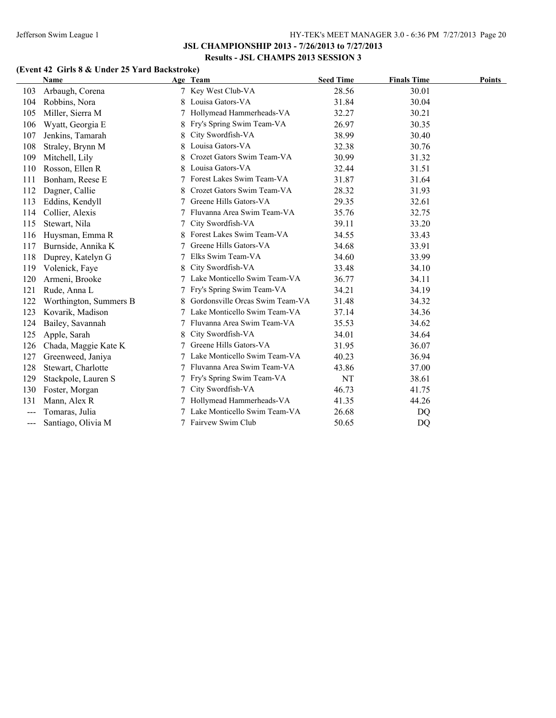# **(Event 42 Girls 8 & Under 25 Yard Backstroke)**

|     | <b>Name</b>            |   | Age Team                        | <b>Seed Time</b> | <b>Finals Time</b> | <b>Points</b> |
|-----|------------------------|---|---------------------------------|------------------|--------------------|---------------|
| 103 | Arbaugh, Corena        |   | Key West Club-VA                | 28.56            | 30.01              |               |
| 104 | Robbins, Nora          |   | Louisa Gators-VA                | 31.84            | 30.04              |               |
| 105 | Miller, Sierra M       |   | Hollymead Hammerheads-VA        | 32.27            | 30.21              |               |
| 106 | Wyatt, Georgia E       |   | Fry's Spring Swim Team-VA       | 26.97            | 30.35              |               |
| 107 | Jenkins, Tamarah       | 8 | City Swordfish-VA               | 38.99            | 30.40              |               |
| 108 | Straley, Brynn M       |   | Louisa Gators-VA                | 32.38            | 30.76              |               |
| 109 | Mitchell, Lily         |   | Crozet Gators Swim Team-VA      | 30.99            | 31.32              |               |
| 110 | Rosson, Ellen R        |   | Louisa Gators-VA                | 32.44            | 31.51              |               |
| 111 | Bonham, Reese E        |   | Forest Lakes Swim Team-VA       | 31.87            | 31.64              |               |
| 112 | Dagner, Callie         |   | Crozet Gators Swim Team-VA      | 28.32            | 31.93              |               |
| 113 | Eddins, Kendyll        |   | Greene Hills Gators-VA          | 29.35            | 32.61              |               |
| 114 | Collier, Alexis        |   | Fluvanna Area Swim Team-VA      | 35.76            | 32.75              |               |
| 115 | Stewart, Nila          |   | City Swordfish-VA               | 39.11            | 33.20              |               |
| 116 | Huysman, Emma R        |   | Forest Lakes Swim Team-VA       | 34.55            | 33.43              |               |
| 117 | Burnside, Annika K     |   | Greene Hills Gators-VA          | 34.68            | 33.91              |               |
| 118 | Duprey, Katelyn G      | 7 | Elks Swim Team-VA               | 34.60            | 33.99              |               |
| 119 | Volenick, Faye         |   | City Swordfish-VA               | 33.48            | 34.10              |               |
| 120 | Armeni, Brooke         |   | Lake Monticello Swim Team-VA    | 36.77            | 34.11              |               |
| 121 | Rude, Anna L           |   | Fry's Spring Swim Team-VA       | 34.21            | 34.19              |               |
| 122 | Worthington, Summers B |   | Gordonsville Orcas Swim Team-VA | 31.48            | 34.32              |               |
| 123 | Kovarik, Madison       |   | Lake Monticello Swim Team-VA    | 37.14            | 34.36              |               |
| 124 | Bailey, Savannah       |   | Fluvanna Area Swim Team-VA      | 35.53            | 34.62              |               |
| 125 | Apple, Sarah           |   | City Swordfish-VA               | 34.01            | 34.64              |               |
| 126 | Chada, Maggie Kate K   |   | Greene Hills Gators-VA          | 31.95            | 36.07              |               |
| 127 | Greenweed, Janiya      |   | Lake Monticello Swim Team-VA    | 40.23            | 36.94              |               |
| 128 | Stewart, Charlotte     |   | Fluvanna Area Swim Team-VA      | 43.86            | 37.00              |               |
| 129 | Stackpole, Lauren S    |   | Fry's Spring Swim Team-VA       | NT               | 38.61              |               |
| 130 | Foster, Morgan         |   | City Swordfish-VA               | 46.73            | 41.75              |               |
| 131 | Mann, Alex R           |   | Hollymead Hammerheads-VA        | 41.35            | 44.26              |               |
| --- | Tomaras, Julia         |   | Lake Monticello Swim Team-VA    | 26.68            | DQ                 |               |
| --- | Santiago, Olivia M     |   | Fairvew Swim Club               | 50.65            | DQ                 |               |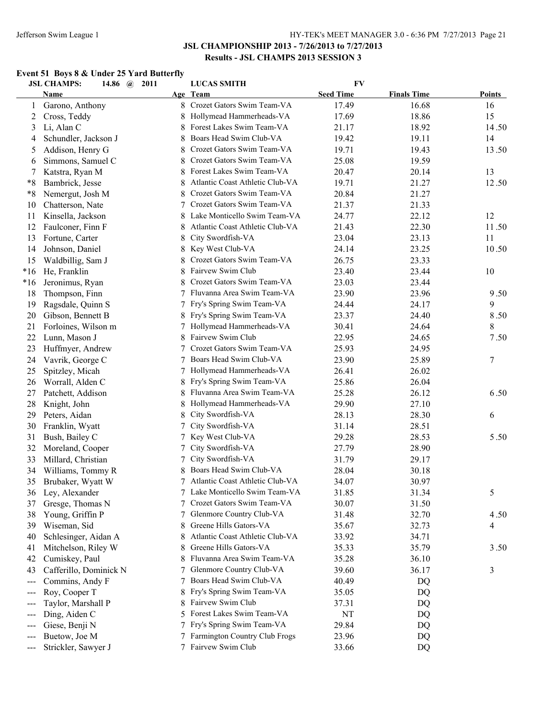#### Jefferson Swim League 1 HY-TEK's MEET MANAGER 3.0 - 6:36 PM 7/27/2013 Page 21

### **JSL CHAMPIONSHIP 2013 - 7/26/2013 to 7/27/2013 Results - JSL CHAMPS 2013 SESSION 3**

#### **Event 51 Boys 8 & Under 25 Yard Butterfly**

|                                           | <b>JSL CHAMPS:</b><br>2011<br>14.86 $\omega$ |    | <b>LUCAS SMITH</b>              | <b>FV</b>        |                    |               |
|-------------------------------------------|----------------------------------------------|----|---------------------------------|------------------|--------------------|---------------|
|                                           | <b>Name</b>                                  |    | Age Team                        | <b>Seed Time</b> | <b>Finals Time</b> | <b>Points</b> |
| 1                                         | Garono, Anthony                              |    | 8 Crozet Gators Swim Team-VA    | 17.49            | 16.68              | 16            |
| 2                                         | Cross, Teddy                                 |    | Hollymead Hammerheads-VA        | 17.69            | 18.86              | 15            |
| 3                                         | Li, Alan C                                   | 8  | Forest Lakes Swim Team-VA       | 21.17            | 18.92              | 14.50         |
| 4                                         | Schundler, Jackson J                         |    | Boars Head Swim Club-VA         | 19.42            | 19.11              | 14            |
| 5                                         | Addison, Henry G                             | 8  | Crozet Gators Swim Team-VA      | 19.71            | 19.43              | 13.50         |
| 6                                         | Simmons, Samuel C                            |    | Crozet Gators Swim Team-VA      | 25.08            | 19.59              |               |
| 7                                         | Katstra, Ryan M                              |    | Forest Lakes Swim Team-VA       | 20.47            | 20.14              | 13            |
| $*8$                                      | Bambrick, Jesse                              |    | Atlantic Coast Athletic Club-VA | 19.71            | 21.27              | 12.50         |
| $*8$                                      | Nemergut, Josh M                             |    | Crozet Gators Swim Team-VA      | 20.84            | 21.27              |               |
| 10                                        | Chatterson, Nate                             |    | Crozet Gators Swim Team-VA      | 21.37            | 21.33              |               |
| 11                                        | Kinsella, Jackson                            |    | Lake Monticello Swim Team-VA    | 24.77            | 22.12              | 12            |
| 12                                        | Faulconer, Finn F                            |    | Atlantic Coast Athletic Club-VA | 21.43            | 22.30              | 11.50         |
| 13                                        | Fortune, Carter                              | 8  | City Swordfish-VA               | 23.04            | 23.13              | 11            |
| 14                                        | Johnson, Daniel                              | 8  | Key West Club-VA                | 24.14            | 23.25              | 10.50         |
| 15                                        | Waldbillig, Sam J                            |    | Crozet Gators Swim Team-VA      | 26.75            | 23.33              |               |
| $*16$                                     | He, Franklin                                 |    | Fairvew Swim Club               | 23.40            | 23.44              | 10            |
| $*16$                                     | Jeronimus, Ryan                              |    | Crozet Gators Swim Team-VA      | 23.03            | 23.44              |               |
| 18                                        | Thompson, Finn                               |    | Fluvanna Area Swim Team-VA      | 23.90            | 23.96              | 9.50          |
| 19                                        | Ragsdale, Quinn S                            |    | Fry's Spring Swim Team-VA       | 24.44            | 24.17              | 9             |
| 20                                        | Gibson, Bennett B                            | 8  | Fry's Spring Swim Team-VA       | 23.37            | 24.40              | 8.50          |
| 21                                        | Forloines, Wilson m                          | 7  | Hollymead Hammerheads-VA        | 30.41            | 24.64              | 8             |
| 22                                        | Lunn, Mason J                                | 8  | Fairvew Swim Club               | 22.95            | 24.65              | 7.50          |
| 23                                        | Huffmyer, Andrew                             | 7  | Crozet Gators Swim Team-VA      | 25.93            | 24.95              |               |
| 24                                        | Vavrik, George C                             | 7  | Boars Head Swim Club-VA         | 23.90            | 25.89              | 7             |
| 25                                        | Spitzley, Micah                              | 7  | Hollymead Hammerheads-VA        | 26.41            | 26.02              |               |
| 26                                        | Worrall, Alden C                             | 8  | Fry's Spring Swim Team-VA       | 25.86            | 26.04              |               |
| 27                                        | Patchett, Addison                            | 8  | Fluvanna Area Swim Team-VA      | 25.28            | 26.12              | 6.50          |
| 28                                        | Knight, John                                 | 8  | Hollymead Hammerheads-VA        | 29.90            | 27.10              |               |
| 29                                        | Peters, Aidan                                | 8  | City Swordfish-VA               | 28.13            | 28.30              | 6             |
| 30                                        | Franklin, Wyatt                              | 7  | City Swordfish-VA               | 31.14            | 28.51              |               |
| 31                                        | Bush, Bailey C                               | 7  | Key West Club-VA                | 29.28            | 28.53              | 5.50          |
| 32                                        | Moreland, Cooper                             | 7  | City Swordfish-VA               | 27.79            | 28.90              |               |
| 33                                        | Millard, Christian                           | 7  | City Swordfish-VA               | 31.79            | 29.17              |               |
| 34                                        | Williams, Tommy R                            |    | Boars Head Swim Club-VA         | 28.04            | 30.18              |               |
| 35                                        | Brubaker, Wyatt W                            | 7  | Atlantic Coast Athletic Club-VA | 34.07            | 30.97              |               |
| 36                                        | Ley, Alexander                               |    | Lake Monticello Swim Team-VA    | 31.85            | 31.34              | 5             |
| 37                                        | Gresge, Thomas N                             |    | Crozet Gators Swim Team-VA      | 30.07            | 31.50              |               |
| 38                                        | Young, Griffin P                             | 7  | Glenmore Country Club-VA        | 31.48            | 32.70              | 4.50          |
| 39                                        | Wiseman, Sid                                 | 8  | Greene Hills Gators-VA          | 35.67            | 32.73              | 4             |
| 40                                        | Schlesinger, Aidan A                         | 8  | Atlantic Coast Athletic Club-VA | 33.92            | 34.71              |               |
| 41                                        | Mitchelson, Riley W                          |    | Greene Hills Gators-VA          | 35.33            | 35.79              | 3.50          |
| 42                                        | Cumiskey, Paul                               |    | Fluvanna Area Swim Team-VA      | 35.28            | 36.10              |               |
| 43                                        | Cafferillo, Dominick N                       |    | Glenmore Country Club-VA        | 39.60            | 36.17              | 3             |
| $---$                                     | Commins, Andy F                              |    | Boars Head Swim Club-VA         | 40.49            | DQ                 |               |
| $---$                                     | Roy, Cooper T                                |    | Fry's Spring Swim Team-VA       | 35.05            | DQ                 |               |
| $---$                                     | Taylor, Marshall P                           |    | Fairvew Swim Club               | 37.31            | DQ                 |               |
| $---$                                     | Ding, Aiden C                                | 5. | Forest Lakes Swim Team-VA       | NT               | DQ                 |               |
| $---$                                     | Giese, Benji N                               |    | Fry's Spring Swim Team-VA       | 29.84            | DQ                 |               |
| $---$                                     | Buetow, Joe M                                |    | Farmington Country Club Frogs   | 23.96            | DQ                 |               |
| $\qquad \qquad \textbf{---} \textbf{---}$ | Strickler, Sawyer J                          |    | 7 Fairvew Swim Club             | 33.66            | DQ                 |               |
|                                           |                                              |    |                                 |                  |                    |               |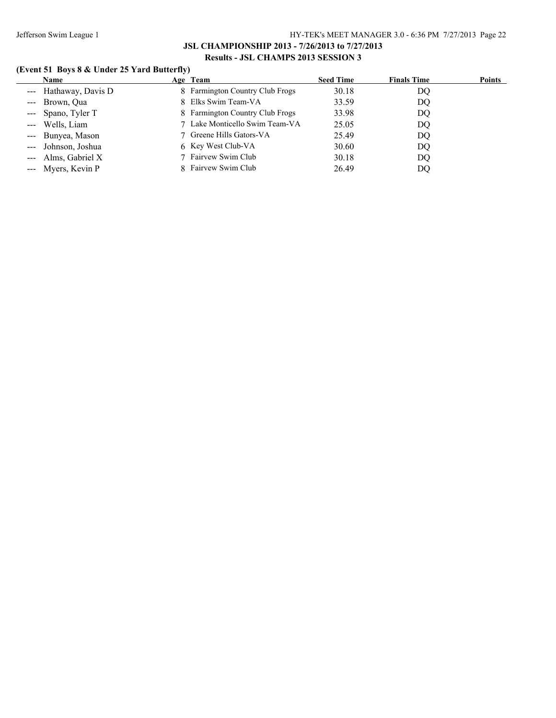# **(Event 51 Boys 8 & Under 25 Yard Butterfly)**

| <b>Name</b>           | Age Team                        | <b>Seed Time</b> | <b>Finals Time</b> | Points |
|-----------------------|---------------------------------|------------------|--------------------|--------|
| --- Hathaway, Davis D | 8 Farmington Country Club Frogs | 30.18            | DO                 |        |
| --- Brown, Qua        | 8 Elks Swim Team-VA             | 33.59            | DQ                 |        |
| --- Spano, Tyler T    | 8 Farmington Country Club Frogs | 33.98            | DQ                 |        |
| --- Wells, Liam       | 7 Lake Monticello Swim Team-VA  | 25.05            | DO                 |        |
| --- Bunyea, Mason     | 7 Greene Hills Gators-VA        | 25.49            | DQ                 |        |
| --- Johnson, Joshua   | 6 Key West Club-VA              | 30.60            | DQ                 |        |
| --- Alms, Gabriel X   | 7 Fairvew Swim Club             | 30.18            | DQ                 |        |
| --- Myers, Kevin P    | 8 Fairvew Swim Club             | 26.49            | DO                 |        |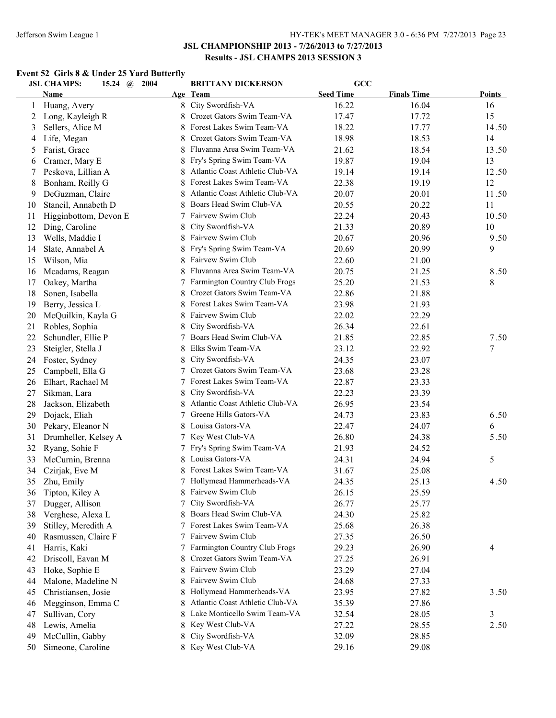#### **Event 52 Girls 8 & Under 25 Yard Butterfly**

|    | <b>JSL CHAMPS:</b>    | 2004<br>15.24 $\omega$ |    | <b>BRITTANY DICKERSON</b>       | GCC              |                    |        |
|----|-----------------------|------------------------|----|---------------------------------|------------------|--------------------|--------|
|    | <b>Name</b>           |                        |    | Age Team                        | <b>Seed Time</b> | <b>Finals Time</b> | Points |
| 1  | Huang, Avery          |                        |    | 8 City Swordfish-VA             | 16.22            | 16.04              | 16     |
| 2  | Long, Kayleigh R      |                        |    | Crozet Gators Swim Team-VA      | 17.47            | 17.72              | 15     |
| 3  | Sellers, Alice M      |                        | 8. | Forest Lakes Swim Team-VA       | 18.22            | 17.77              | 14.50  |
| 4  | Life, Megan           |                        |    | Crozet Gators Swim Team-VA      | 18.98            | 18.53              | 14     |
| 5  | Farist, Grace         |                        | 8  | Fluvanna Area Swim Team-VA      | 21.62            | 18.54              | 13.50  |
| 6  | Cramer, Mary E        |                        |    | Fry's Spring Swim Team-VA       | 19.87            | 19.04              | 13     |
| 7  | Peskova, Lillian A    |                        | 8  | Atlantic Coast Athletic Club-VA | 19.14            | 19.14              | 12.50  |
| 8  | Bonham, Reilly G      |                        |    | Forest Lakes Swim Team-VA       | 22.38            | 19.19              | 12     |
| 9  | DeGuzman, Claire      |                        |    | Atlantic Coast Athletic Club-VA | 20.07            | 20.01              | 11.50  |
| 10 | Stancil, Annabeth D   |                        |    | Boars Head Swim Club-VA         | 20.55            | 20.22              | 11     |
| 11 | Higginbottom, Devon E |                        |    | Fairvew Swim Club               | 22.24            | 20.43              | 10.50  |
| 12 | Ding, Caroline        |                        |    | City Swordfish-VA               | 21.33            | 20.89              | 10     |
| 13 | Wells, Maddie I       |                        |    | Fairvew Swim Club               | 20.67            | 20.96              | 9.50   |
| 14 | Slate, Annabel A      |                        |    | Fry's Spring Swim Team-VA       | 20.69            | 20.99              | 9      |
| 15 | Wilson, Mia           |                        |    | Fairvew Swim Club               | 22.60            | 21.00              |        |
| 16 | Mcadams, Reagan       |                        |    | Fluvanna Area Swim Team-VA      | 20.75            | 21.25              | 8.50   |
| 17 | Oakey, Martha         |                        |    | Farmington Country Club Frogs   | 25.20            | 21.53              | 8      |
| 18 | Sonen, Isabella       |                        | 8  | Crozet Gators Swim Team-VA      | 22.86            | 21.88              |        |
| 19 | Berry, Jessica L      |                        | 8. | Forest Lakes Swim Team-VA       | 23.98            | 21.93              |        |
| 20 | McQuilkin, Kayla G    |                        | 8  | Fairvew Swim Club               | 22.02            | 22.29              |        |
| 21 | Robles, Sophia        |                        | 8  | City Swordfish-VA               | 26.34            | 22.61              |        |
| 22 | Schundler, Ellie P    |                        | 7  | Boars Head Swim Club-VA         | 21.85            | 22.85              | 7.50   |
| 23 | Steigler, Stella J    |                        | 8  | Elks Swim Team-VA               | 23.12            | 22.92              | 7      |
| 24 | Foster, Sydney        |                        | 8  | City Swordfish-VA               | 24.35            | 23.07              |        |
| 25 | Campbell, Ella G      |                        | 7  | Crozet Gators Swim Team-VA      | 23.68            | 23.28              |        |
| 26 | Elhart, Rachael M     |                        | 7  | Forest Lakes Swim Team-VA       | 22.87            | 23.33              |        |
| 27 | Sikman, Lara          |                        | 8  | City Swordfish-VA               | 22.23            | 23.39              |        |
| 28 | Jackson, Elizabeth    |                        | 8  | Atlantic Coast Athletic Club-VA | 26.95            | 23.54              |        |
| 29 | Dojack, Eliah         |                        | 7  | Greene Hills Gators-VA          | 24.73            | 23.83              | 6.50   |
| 30 | Pekary, Eleanor N     |                        | 8  | Louisa Gators-VA                | 22.47            | 24.07              | 6      |
| 31 | Drumheller, Kelsey A  |                        | 7  | Key West Club-VA                | 26.80            | 24.38              | 5.50   |
| 32 | Ryang, Sohie F        |                        | 7  | Fry's Spring Swim Team-VA       | 21.93            | 24.52              |        |
| 33 | McCurnin, Brenna      |                        | 8  | Louisa Gators-VA                | 24.31            | 24.94              | 5      |
| 34 | Czirjak, Eve M        |                        |    | Forest Lakes Swim Team-VA       | 31.67            | 25.08              |        |
| 35 | Zhu, Emily            |                        |    | 7 Hollymead Hammerheads-VA      | 24.35            | 25.13              | 4.50   |
| 36 | Tipton, Kiley A       |                        |    | 8 Fairvew Swim Club             | 26.15            | 25.59              |        |
| 37 | Dugger, Allison       |                        | 7  | City Swordfish-VA               | 26.77            | 25.77              |        |
| 38 | Verghese, Alexa L     |                        |    | Boars Head Swim Club-VA         | 24.30            | 25.82              |        |
| 39 | Stilley, Meredith A   |                        |    | Forest Lakes Swim Team-VA       | 25.68            | 26.38              |        |
| 40 | Rasmussen, Claire F   |                        |    | Fairvew Swim Club               | 27.35            | 26.50              |        |
| 41 | Harris, Kaki          |                        |    | Farmington Country Club Frogs   | 29.23            | 26.90              | 4      |
| 42 | Driscoll, Eavan M     |                        |    | Crozet Gators Swim Team-VA      | 27.25            | 26.91              |        |
| 43 | Hoke, Sophie E        |                        | 8  | Fairvew Swim Club               | 23.29            | 27.04              |        |
| 44 | Malone, Madeline N    |                        |    | Fairvew Swim Club               | 24.68            | 27.33              |        |
| 45 | Christiansen, Josie   |                        |    | Hollymead Hammerheads-VA        | 23.95            | 27.82              | 3.50   |
| 46 | Megginson, Emma C     |                        |    | Atlantic Coast Athletic Club-VA | 35.39            | 27.86              |        |
| 47 | Sullivan, Cory        |                        |    | Lake Monticello Swim Team-VA    | 32.54            | 28.05              | 3      |
| 48 | Lewis, Amelia         |                        | 8  | Key West Club-VA                | 27.22            | 28.55              | 2.50   |
| 49 | McCullin, Gabby       |                        | 8  | City Swordfish-VA               | 32.09            | 28.85              |        |
| 50 | Simeone, Caroline     |                        |    | 8 Key West Club-VA              | 29.16            | 29.08              |        |
|    |                       |                        |    |                                 |                  |                    |        |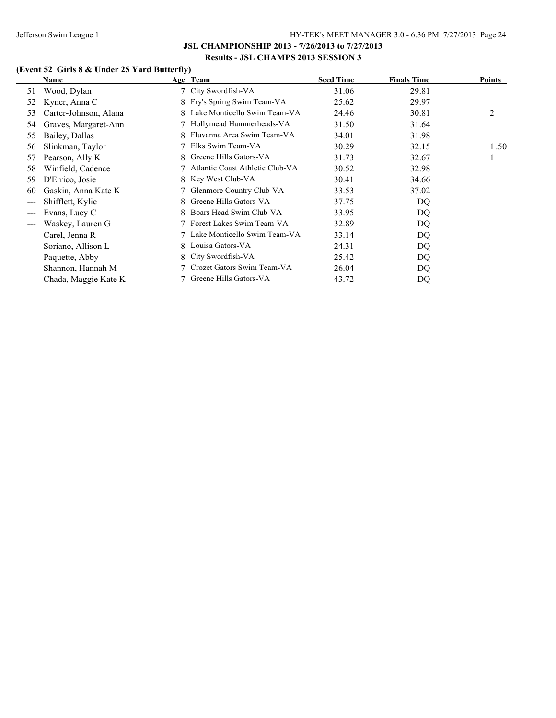# **(Event 52 Girls 8 & Under 25 Yard Butterfly)**

|                      | Name                  |    | Age Team                        | <b>Seed Time</b> | <b>Finals Time</b> | <b>Points</b> |
|----------------------|-----------------------|----|---------------------------------|------------------|--------------------|---------------|
| 51                   | Wood, Dylan           |    | 7 City Swordfish-VA             | 31.06            | 29.81              |               |
| 52                   | Kyner, Anna C         |    | 8 Fry's Spring Swim Team-VA     | 25.62            | 29.97              |               |
| 53                   | Carter-Johnson, Alana | 8. | Lake Monticello Swim Team-VA    | 24.46            | 30.81              | 2             |
| 54                   | Graves, Margaret-Ann  |    | Hollymead Hammerheads-VA        | 31.50            | 31.64              |               |
| 55                   | Bailey, Dallas        | 8. | Fluvanna Area Swim Team-VA      | 34.01            | 31.98              |               |
| 56                   | Slinkman, Taylor      |    | Elks Swim Team-VA               | 30.29            | 32.15              | 1.50          |
| 57                   | Pearson, Ally K       | 8. | Greene Hills Gators-VA          | 31.73            | 32.67              |               |
| 58                   | Winfield, Cadence     |    | Atlantic Coast Athletic Club-VA | 30.52            | 32.98              |               |
| 59                   | D'Errico, Josie       | 8. | Key West Club-VA                | 30.41            | 34.66              |               |
| 60                   | Gaskin, Anna Kate K   |    | Glenmore Country Club-VA        | 33.53            | 37.02              |               |
| $\qquad \qquad -$    | Shifflett, Kylie      | 8. | Greene Hills Gators-VA          | 37.75            | DQ                 |               |
| $\qquad \qquad -$    | Evans, Lucy C         | 8. | Boars Head Swim Club-VA         | 33.95            | DQ                 |               |
| $---$                | Waskey, Lauren G      |    | Forest Lakes Swim Team-VA       | 32.89            | DQ                 |               |
| $\qquad \qquad -$    | Carel, Jenna R        |    | Lake Monticello Swim Team-VA    | 33.14            | DQ                 |               |
| $---$                | Soriano, Allison L    | 8  | Louisa Gators-VA                | 24.31            | DQ                 |               |
| $\sim$ $\sim$ $\sim$ | Paquette, Abby        |    | 8 City Swordfish-VA             | 25.42            | DQ                 |               |
| $---$                | Shannon, Hannah M     |    | Crozet Gators Swim Team-VA      | 26.04            | DQ                 |               |
| ---                  | Chada, Maggie Kate K  |    | Greene Hills Gators-VA          | 43.72            | DO                 |               |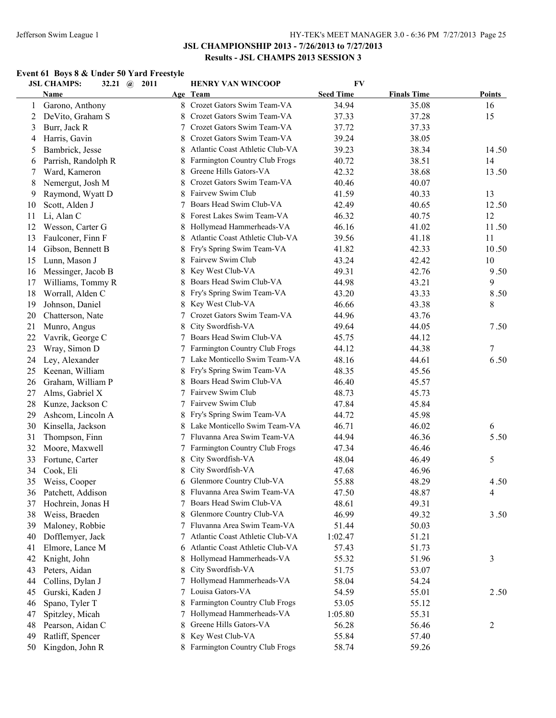# **Event 61 Boys 8 & Under 50 Yard Freestyle**

|    | <b>JSL CHAMPS:</b><br>32.21 $(a)$ | 2011 | <b>HENRY VAN WINCOOP</b>        | <b>FV</b>        |                    |               |
|----|-----------------------------------|------|---------------------------------|------------------|--------------------|---------------|
|    | <b>Name</b>                       |      | Age Team                        | <b>Seed Time</b> | <b>Finals Time</b> | <b>Points</b> |
| 1  | Garono, Anthony                   |      | 8 Crozet Gators Swim Team-VA    | 34.94            | 35.08              | 16            |
| 2  | DeVito, Graham S                  |      | Crozet Gators Swim Team-VA      | 37.33            | 37.28              | 15            |
| 3  | Burr, Jack R                      | 7    | Crozet Gators Swim Team-VA      | 37.72            | 37.33              |               |
| 4  | Harris, Gavin                     | 8    | Crozet Gators Swim Team-VA      | 39.24            | 38.05              |               |
| 5  | Bambrick, Jesse                   | 8    | Atlantic Coast Athletic Club-VA | 39.23            | 38.34              | 14.50         |
| 6  | Parrish, Randolph R               |      | Farmington Country Club Frogs   | 40.72            | 38.51              | 14            |
| 7  | Ward, Kameron                     | 8    | Greene Hills Gators-VA          | 42.32            | 38.68              | 13.50         |
| 8  | Nemergut, Josh M                  |      | Crozet Gators Swim Team-VA      | 40.46            | 40.07              |               |
| 9  | Raymond, Wyatt D                  |      | Fairvew Swim Club               | 41.59            | 40.33              | 13            |
| 10 | Scott, Alden J                    | 7    | Boars Head Swim Club-VA         | 42.49            | 40.65              | 12.50         |
| 11 | Li, Alan C                        |      | Forest Lakes Swim Team-VA       | 46.32            | 40.75              | 12            |
| 12 | Wesson, Carter G                  |      | Hollymead Hammerheads-VA        | 46.16            | 41.02              | 11.50         |
| 13 | Faulconer, Finn F                 | 8    | Atlantic Coast Athletic Club-VA | 39.56            | 41.18              | 11            |
| 14 | Gibson, Bennett B                 |      | Fry's Spring Swim Team-VA       | 41.82            | 42.33              | 10.50         |
| 15 | Lunn, Mason J                     |      | Fairvew Swim Club               | 43.24            | 42.42              | 10            |
| 16 | Messinger, Jacob B                |      | Key West Club-VA                | 49.31            | 42.76              | 9.50          |
| 17 | Williams, Tommy R                 |      | Boars Head Swim Club-VA         | 44.98            | 43.21              | 9             |
| 18 | Worrall, Alden C                  | 8    | Fry's Spring Swim Team-VA       | 43.20            | 43.33              | 8.50          |
| 19 | Johnson, Daniel                   | 8    | Key West Club-VA                | 46.66            | 43.38              | 8             |
| 20 | Chatterson, Nate                  |      | Crozet Gators Swim Team-VA      | 44.96            | 43.76              |               |
| 21 | Munro, Angus                      | 8    | City Swordfish-VA               | 49.64            | 44.05              | 7.50          |
| 22 | Vavrik, George C                  | 7    | Boars Head Swim Club-VA         | 45.75            | 44.12              |               |
| 23 | Wray, Simon D                     | 7    | Farmington Country Club Frogs   | 44.12            | 44.38              | 7             |
| 24 | Ley, Alexander                    | 7    | Lake Monticello Swim Team-VA    | 48.16            | 44.61              | 6.50          |
| 25 | Keenan, William                   | 8    | Fry's Spring Swim Team-VA       | 48.35            | 45.56              |               |
| 26 | Graham, William P                 | 8    | Boars Head Swim Club-VA         | 46.40            | 45.57              |               |
| 27 | Alms, Gabriel X                   | 7    | Fairvew Swim Club               | 48.73            | 45.73              |               |
| 28 | Kunze, Jackson C                  | 7    | Fairvew Swim Club               | 47.84            | 45.84              |               |
| 29 | Ashcom, Lincoln A                 | 8    | Fry's Spring Swim Team-VA       | 44.72            | 45.98              |               |
| 30 | Kinsella, Jackson                 | 8    | Lake Monticello Swim Team-VA    | 46.71            | 46.02              | 6             |
| 31 | Thompson, Finn                    | 7    | Fluvanna Area Swim Team-VA      | 44.94            | 46.36              | 5.50          |
| 32 | Moore, Maxwell                    | 7    | Farmington Country Club Frogs   | 47.34            | 46.46              |               |
| 33 | Fortune, Carter                   | 8    | City Swordfish-VA               | 48.04            | 46.49              | 5             |
| 34 | Cook, Eli                         | 8    | City Swordfish-VA               | 47.68            | 46.96              |               |
| 35 | Weiss, Cooper                     |      | 6 Glenmore Country Club-VA      | 55.88            | 48.29              | 4.50          |
| 36 | Patchett, Addison                 |      | 8 Fluvanna Area Swim Team-VA    | 47.50            | 48.87              | 4             |
| 37 | Hochrein, Jonas H                 | 7    | Boars Head Swim Club-VA         | 48.61            | 49.31              |               |
| 38 | Weiss, Braeden                    | 8    | Glenmore Country Club-VA        | 46.99            | 49.32              | 3.50          |
| 39 | Maloney, Robbie                   |      | Fluvanna Area Swim Team-VA      | 51.44            | 50.03              |               |
| 40 | Dofflemyer, Jack                  | 7    | Atlantic Coast Athletic Club-VA | 1:02.47          | 51.21              |               |
| 41 | Elmore, Lance M                   | 6    | Atlantic Coast Athletic Club-VA | 57.43            | 51.73              |               |
| 42 | Knight, John                      |      | Hollymead Hammerheads-VA        | 55.32            | 51.96              | 3             |
| 43 | Peters, Aidan                     | 8    | City Swordfish-VA               | 51.75            | 53.07              |               |
| 44 | Collins, Dylan J                  | 7    | Hollymead Hammerheads-VA        | 58.04            | 54.24              |               |
| 45 | Gurski, Kaden J                   |      | Louisa Gators-VA                | 54.59            | 55.01              | 2.50          |
| 46 | Spano, Tyler T                    |      | Farmington Country Club Frogs   | 53.05            | 55.12              |               |
| 47 | Spitzley, Micah                   |      | Hollymead Hammerheads-VA        | 1:05.80          | 55.31              |               |
| 48 | Pearson, Aidan C                  | 8.   | Greene Hills Gators-VA          | 56.28            | 56.46              | 2             |
| 49 | Ratliff, Spencer                  | 8    | Key West Club-VA                | 55.84            | 57.40              |               |
| 50 | Kingdon, John R                   |      | 8 Farmington Country Club Frogs | 58.74            | 59.26              |               |
|    |                                   |      |                                 |                  |                    |               |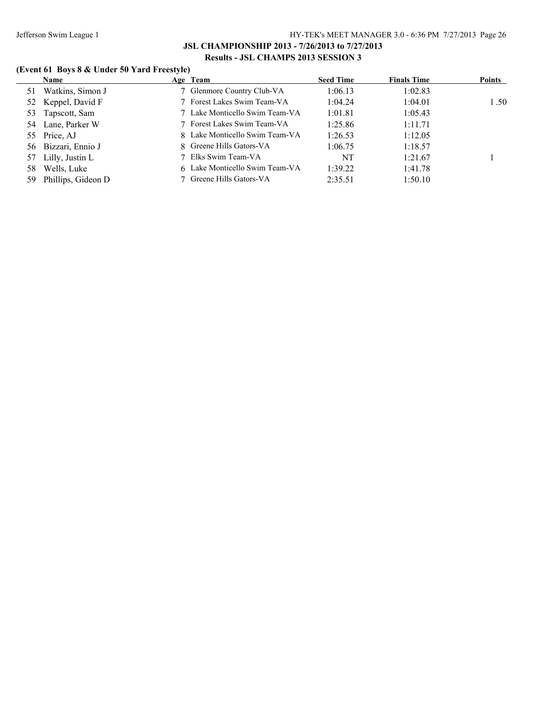# **(Event 61 Boys 8 & Under 50 Yard Freestyle)**

|     | <b>Name</b>        | Age Team                       | <b>Seed Time</b> | <b>Finals Time</b> | <b>Points</b> |
|-----|--------------------|--------------------------------|------------------|--------------------|---------------|
| 51  | Watkins, Simon J   | 7 Glenmore Country Club-VA     | 1:06.13          | 1:02.83            |               |
| 52  | Keppel, David F    | 7 Forest Lakes Swim Team-VA    | 1:04.24          | 1:04.01            | 1.50          |
| 53  | Tapscott, Sam      | 7 Lake Monticello Swim Team-VA | 1:01.81          | 1:05.43            |               |
| 54  | Lane, Parker W     | 7 Forest Lakes Swim Team-VA    | 1:25.86          | 1:11.71            |               |
|     | 55 Price, AJ       | 8 Lake Monticello Swim Team-VA | 1:26.53          | 1:12.05            |               |
| 56  | Bizzari, Ennio J   | 8 Greene Hills Gators-VA       | 1:06.75          | 1:18.57            |               |
| 57  | Lilly, Justin L    | 7 Elks Swim Team-VA            | NT               | 1:21.67            |               |
| 58  | Wells, Luke        | 6 Lake Monticello Swim Team-VA | 1:39.22          | 1:41.78            |               |
| 59. | Phillips, Gideon D | 7 Greene Hills Gators-VA       | 2:35.51          | 1:50.10            |               |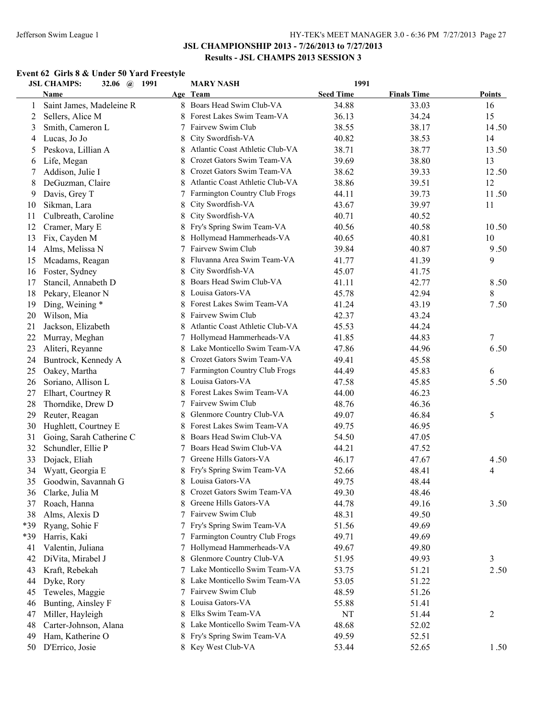# **Event 62 Girls 8 & Under 50 Yard Freestyle**

|     | <b>JSL CHAMPS:</b><br>32.06 @ 1991 |    | <b>MARY NASH</b>                | 1991             |                    |               |
|-----|------------------------------------|----|---------------------------------|------------------|--------------------|---------------|
|     | Name                               |    | Age Team                        | <b>Seed Time</b> | <b>Finals Time</b> | <b>Points</b> |
| 1   | Saint James, Madeleine R           |    | 8 Boars Head Swim Club-VA       | 34.88            | 33.03              | 16            |
| 2   | Sellers, Alice M                   | 8  | Forest Lakes Swim Team-VA       | 36.13            | 34.24              | 15            |
| 3   | Smith, Cameron L                   | 7  | Fairvew Swim Club               | 38.55            | 38.17              | 14.50         |
| 4   | Lucas, Jo Jo                       | 8  | City Swordfish-VA               | 40.82            | 38.53              | 14            |
| 5   | Peskova, Lillian A                 | 8  | Atlantic Coast Athletic Club-VA | 38.71            | 38.77              | 13.50         |
| 6   | Life, Megan                        |    | Crozet Gators Swim Team-VA      | 39.69            | 38.80              | 13            |
| 7   | Addison, Julie I                   | 8  | Crozet Gators Swim Team-VA      | 38.62            | 39.33              | 12.50         |
| 8   | DeGuzman, Claire                   | 8  | Atlantic Coast Athletic Club-VA | 38.86            | 39.51              | 12            |
| 9   | Davis, Grey T                      |    | Farmington Country Club Frogs   | 44.11            | 39.73              | 11.50         |
| 10  | Sikman, Lara                       | 8  | City Swordfish-VA               | 43.67            | 39.97              | 11            |
| 11  | Culbreath, Caroline                | 8  | City Swordfish-VA               | 40.71            | 40.52              |               |
| 12  | Cramer, Mary E                     |    | Fry's Spring Swim Team-VA       | 40.56            | 40.58              | 10.50         |
| 13  | Fix, Cayden M                      |    | Hollymead Hammerheads-VA        | 40.65            | 40.81              | 10            |
| 14  | Alms, Melissa N                    |    | Fairvew Swim Club               | 39.84            | 40.87              | 9.50          |
| 15  | Mcadams, Reagan                    |    | Fluvanna Area Swim Team-VA      | 41.77            | 41.39              | 9             |
| 16  | Foster, Sydney                     | 8  | City Swordfish-VA               | 45.07            | 41.75              |               |
| 17  | Stancil, Annabeth D                |    | Boars Head Swim Club-VA         | 41.11            | 42.77              | 8.50          |
| 18  | Pekary, Eleanor N                  |    | Louisa Gators-VA                | 45.78            | 42.94              | 8             |
| 19  | Ding, Weining *                    |    | Forest Lakes Swim Team-VA       | 41.24            | 43.19              | 7.50          |
| 20  | Wilson, Mia                        |    | Fairvew Swim Club               | 42.37            | 43.24              |               |
| 21  | Jackson, Elizabeth                 |    | Atlantic Coast Athletic Club-VA | 45.53            | 44.24              |               |
| 22  | Murray, Meghan                     |    | 7 Hollymead Hammerheads-VA      | 41.85            | 44.83              | 7             |
| 23  | Aliteri, Reyanne                   | 8  | Lake Monticello Swim Team-VA    | 47.86            | 44.96              | 6.50          |
| 24  | Buntrock, Kennedy A                | 8  | Crozet Gators Swim Team-VA      | 49.41            | 45.58              |               |
| 25  | Oakey, Martha                      | 7  | Farmington Country Club Frogs   | 44.49            | 45.83              | 6             |
| 26  | Soriano, Allison L                 | 8  | Louisa Gators-VA                | 47.58            | 45.85              | 5.50          |
| 27  | Elhart, Courtney R                 | 8  | Forest Lakes Swim Team-VA       | 44.00            | 46.23              |               |
| 28  | Thorndike, Drew D                  | 7  | Fairvew Swim Club               | 48.76            | 46.36              |               |
| 29  | Reuter, Reagan                     | 8  | Glenmore Country Club-VA        | 49.07            | 46.84              | 5             |
| 30  | Hughlett, Courtney E               | 8  | Forest Lakes Swim Team-VA       | 49.75            | 46.95              |               |
| 31  | Going, Sarah Catherine C           | 8  | Boars Head Swim Club-VA         | 54.50            | 47.05              |               |
| 32  | Schundler, Ellie P                 | 7  | Boars Head Swim Club-VA         | 44.21            | 47.52              |               |
| 33  | Dojack, Eliah                      | 7  | Greene Hills Gators-VA          | 46.17            | 47.67              | 4.50          |
| 34  | Wyatt, Georgia E                   |    | Fry's Spring Swim Team-VA       | 52.66            | 48.41              | 4             |
| 35  | Goodwin, Savannah G                | 8  | Louisa Gators-VA                | 49.75            | 48.44              |               |
| 36  | Clarke, Julia M                    |    | Crozet Gators Swim Team-VA      | 49.30            | 48.46              |               |
| 37  | Roach, Hanna                       |    | Greene Hills Gators-VA          | 44.78            | 49.16              | 3.50          |
| 38  | Alms, Alexis D                     | 7  | Fairvew Swim Club               | 48.31            | 49.50              |               |
| *39 | Ryang, Sohie F                     | 7. | Fry's Spring Swim Team-VA       | 51.56            | 49.69              |               |
| *39 | Harris, Kaki                       | 7  | Farmington Country Club Frogs   | 49.71            | 49.69              |               |
| 41  | Valentin, Juliana                  | 7  | Hollymead Hammerheads-VA        | 49.67            | 49.80              |               |
| 42  | DiVita, Mirabel J                  |    | Glenmore Country Club-VA        | 51.95            | 49.93              | 3             |
| 43  | Kraft, Rebekah                     | 7  | Lake Monticello Swim Team-VA    | 53.75            | 51.21              | 2.50          |
| 44  | Dyke, Rory                         |    | Lake Monticello Swim Team-VA    | 53.05            | 51.22              |               |
| 45  | Teweles, Maggie                    |    | Fairvew Swim Club               | 48.59            | 51.26              |               |
| 46  | Bunting, Ainsley F                 |    | Louisa Gators-VA                | 55.88            | 51.41              |               |
| 47  | Miller, Hayleigh                   | 8  | Elks Swim Team-VA               | NT               | 51.44              | 2             |
| 48  | Carter-Johnson, Alana              |    | Lake Monticello Swim Team-VA    | 48.68            | 52.02              |               |
| 49  | Ham, Katherine O                   |    | Fry's Spring Swim Team-VA       | 49.59            | 52.51              |               |
| 50  | D'Errico, Josie                    |    | 8 Key West Club-VA              | 53.44            | 52.65              | 1.50          |
|     |                                    |    |                                 |                  |                    |               |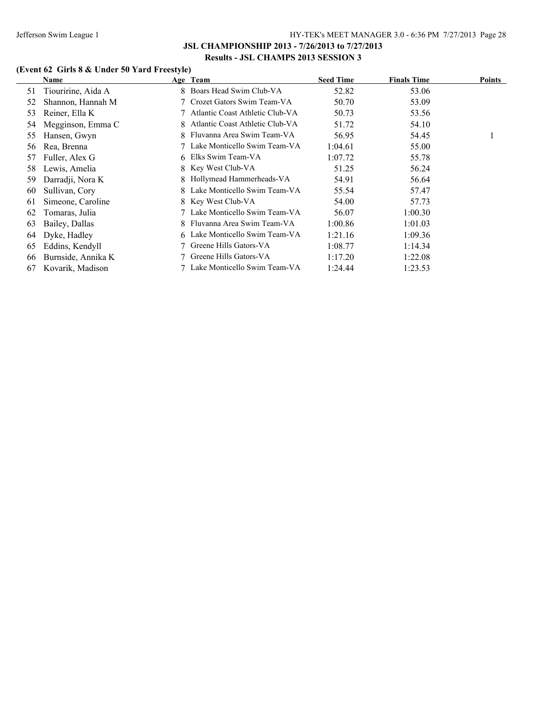# **(Event 62 Girls 8 & Under 50 Yard Freestyle)**

|    | Name               |   | Age Team                        | <b>Seed Time</b> | <b>Finals Time</b> | Points |
|----|--------------------|---|---------------------------------|------------------|--------------------|--------|
| 51 | Tiouririne, Aida A |   | 8 Boars Head Swim Club-VA       | 52.82            | 53.06              |        |
| 52 | Shannon, Hannah M  |   | 7 Crozet Gators Swim Team-VA    | 50.70            | 53.09              |        |
| 53 | Reiner, Ella K     |   | Atlantic Coast Athletic Club-VA | 50.73            | 53.56              |        |
| 54 | Megginson, Emma C  |   | Atlantic Coast Athletic Club-VA | 51.72            | 54.10              |        |
| 55 | Hansen, Gwyn       |   | Fluvanna Area Swim Team-VA      | 56.95            | 54.45              |        |
| 56 | Rea, Brenna        |   | Lake Monticello Swim Team-VA    | 1:04.61          | 55.00              |        |
| 57 | Fuller, Alex G     |   | 6 Elks Swim Team-VA             | 1:07.72          | 55.78              |        |
| 58 | Lewis, Amelia      |   | 8 Key West Club-VA              | 51.25            | 56.24              |        |
| 59 | Darradji, Nora K   | 8 | Hollymead Hammerheads-VA        | 54.91            | 56.64              |        |
| 60 | Sullivan, Cory     |   | Lake Monticello Swim Team-VA    | 55.54            | 57.47              |        |
| 61 | Simeone, Caroline  |   | 8 Key West Club-VA              | 54.00            | 57.73              |        |
| 62 | Tomaras, Julia     |   | Lake Monticello Swim Team-VA    | 56.07            | 1:00.30            |        |
| 63 | Bailey, Dallas     | 8 | Fluvanna Area Swim Team-VA      | 1:00.86          | 1:01.03            |        |
| 64 | Dyke, Hadley       |   | 6 Lake Monticello Swim Team-VA  | 1:21.16          | 1:09.36            |        |
| 65 | Eddins, Kendyll    |   | Greene Hills Gators-VA          | 1:08.77          | 1:14.34            |        |
| 66 | Burnside, Annika K |   | 7 Greene Hills Gators-VA        | 1:17.20          | 1:22.08            |        |
| 67 | Kovarik, Madison   |   | Lake Monticello Swim Team-VA    | 1:24.44          | 1:23.53            |        |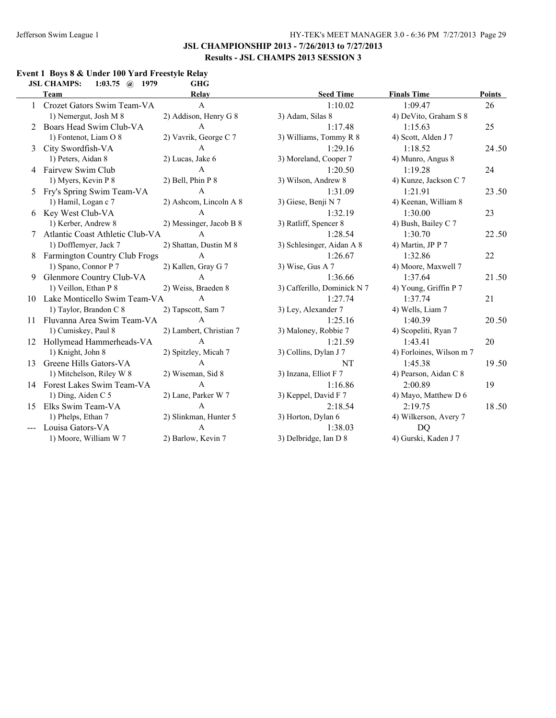#### **Event 1 Boys 8 & Under 100 Yard Freestyle Relay JSL CHAMPS: 1:03.75 @ 1979**

|    | CHARLE S.<br>$1.00.10$ $\langle u \rangle$ |                         |                             |                          |        |
|----|--------------------------------------------|-------------------------|-----------------------------|--------------------------|--------|
|    | Team                                       | Relay                   | <b>Seed Time</b>            | <b>Finals Time</b>       | Points |
|    | 1 Crozet Gators Swim Team-VA               | $\mathbf{A}$            | 1:10.02                     | 1:09.47                  | 26     |
|    | 1) Nemergut, Josh M 8                      | 2) Addison, Henry G 8   | 3) Adam, Silas 8            | 4) DeVito, Graham S 8    |        |
|    | 2 Boars Head Swim Club-VA                  | A                       | 1:17.48                     | 1:15.63                  | 25     |
|    | 1) Fontenot, Liam O 8                      | 2) Vavrik, George C 7   | 3) Williams, Tommy R 8      | 4) Scott, Alden J 7      |        |
| 3  | City Swordfish-VA                          | A                       | 1:29.16                     | 1:18.52                  | 24.50  |
|    | 1) Peters, Aidan 8                         | 2) Lucas, Jake 6        | 3) Moreland, Cooper 7       | 4) Munro, Angus 8        |        |
| 4  | Fairvew Swim Club                          | $\mathbf{A}$            | 1:20.50                     | 1:19.28                  | 24     |
|    | 1) Myers, Kevin P 8                        | 2) Bell, Phin P 8       | 3) Wilson, Andrew 8         | 4) Kunze, Jackson C 7    |        |
| 5  | Fry's Spring Swim Team-VA                  | $\mathbf{A}$            | 1:31.09                     | 1:21.91                  | 23.50  |
|    | 1) Hamil, Logan c 7                        | 2) Ashcom, Lincoln A 8  | 3) Giese, Benji N 7         | 4) Keenan, William 8     |        |
|    | 6 Key West Club-VA                         | $\mathsf{A}$            | 1:32.19                     | 1:30.00                  | 23     |
|    | 1) Kerber, Andrew 8                        | 2) Messinger, Jacob B 8 | 3) Ratliff, Spencer 8       | 4) Bush, Bailey C 7      |        |
|    | Atlantic Coast Athletic Club-VA            | $\mathsf{A}$            | 1:28.54                     | 1:30.70                  | 22.50  |
|    | 1) Dofflemyer, Jack 7                      | 2) Shattan, Dustin M 8  | 3) Schlesinger, Aidan A 8   | 4) Martin, JP P 7        |        |
| 8  | <b>Farmington Country Club Frogs</b>       | $\mathbf{A}$            | 1:26.67                     | 1:32.86                  | 22     |
|    | 1) Spano, Connor P 7                       | 2) Kallen, Gray G 7     | 3) Wise, Gus A $7$          | 4) Moore, Maxwell 7      |        |
| 9  | Glenmore Country Club-VA                   | $\mathbf{A}$            | 1:36.66                     | 1:37.64                  | 21.50  |
|    | 1) Veillon, Ethan P 8                      | 2) Weiss, Braeden 8     | 3) Cafferillo, Dominick N 7 | 4) Young, Griffin P 7    |        |
|    | 10 Lake Monticello Swim Team-VA            | $\mathsf{A}$            | 1:27.74                     | 1:37.74                  | 21     |
|    | 1) Taylor, Brandon C 8                     | 2) Tapscott, Sam 7      | 3) Ley, Alexander 7         | 4) Wells, Liam 7         |        |
| 11 | Fluvanna Area Swim Team-VA                 | $\mathsf{A}$            | 1:25.16                     | 1:40.39                  | 20.50  |
|    | 1) Cumiskey, Paul 8                        | 2) Lambert, Christian 7 | 3) Maloney, Robbie 7        | 4) Scopeliti, Ryan 7     |        |
|    | 12 Hollymead Hammerheads-VA                | $\mathbf{A}$            | 1:21.59                     | 1:43.41                  | 20     |
|    | 1) Knight, John 8                          | 2) Spitzley, Micah 7    | 3) Collins, Dylan J 7       | 4) Forloines, Wilson m 7 |        |
| 13 | Greene Hills Gators-VA                     | $\mathbf{A}$            | NT                          | 1:45.38                  | 19.50  |
|    | 1) Mitchelson, Riley W 8                   | 2) Wiseman, Sid 8       | 3) Inzana, Elliot F 7       | 4) Pearson, Aidan C 8    |        |
|    | 14 Forest Lakes Swim Team-VA               | $\mathsf{A}$            | 1:16.86                     | 2:00.89                  | 19     |
|    | 1) Ding, Aiden C 5                         | 2) Lane, Parker W 7     | 3) Keppel, David F 7        | 4) Mayo, Matthew D 6     |        |
| 15 | Elks Swim Team-VA                          | $\mathsf{A}$            | 2:18.54                     | 2:19.75                  | 18.50  |
|    | 1) Phelps, Ethan 7                         | 2) Slinkman, Hunter 5   | 3) Horton, Dylan 6          | 4) Wilkerson, Avery 7    |        |
|    | Louisa Gators-VA                           | A                       | 1:38.03                     | <b>DQ</b>                |        |
|    | 1) Moore, William W 7                      | 2) Barlow, Kevin 7      | 3) Delbridge, Ian D 8       | 4) Gurski, Kaden J 7     |        |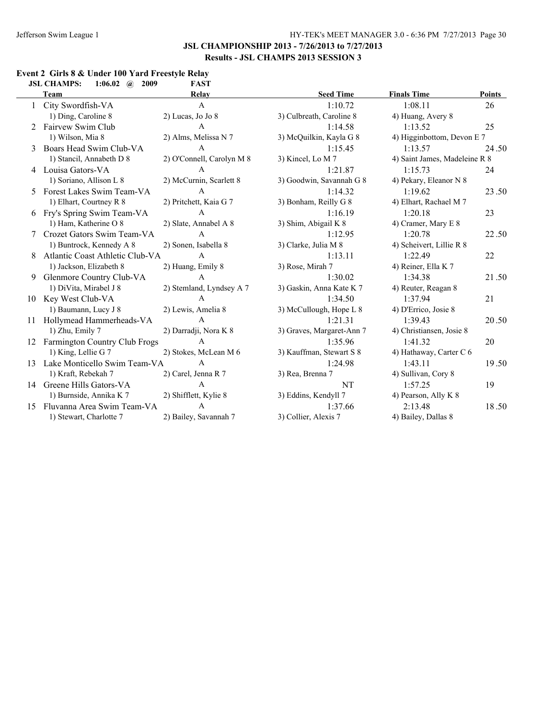#### **Event 2 Girls 8 & Under 100 Yard Freestyle Relay**<br>JSL CHAMPS: 1:06.02 @ 2009 FAST **JSL CHAMPS: 1:06.02 @ 2009**

|    | Team                            | Relay                     | <b>Seed Time</b>          | <b>Finals Time</b>            | Points |
|----|---------------------------------|---------------------------|---------------------------|-------------------------------|--------|
|    | City Swordfish-VA               | $\mathsf{A}$              | 1:10.72                   | 1:08.11                       | 26     |
|    | 1) Ding, Caroline 8             | $2)$ Lucas, Jo Jo $8$     | 3) Culbreath, Caroline 8  | 4) Huang, Avery 8             |        |
|    | Fairvew Swim Club               | $\mathsf{A}$              | 1:14.58                   | 1:13.52                       | 25     |
|    | 1) Wilson, Mia 8                | 2) Alms, Melissa N 7      | 3) McQuilkin, Kayla G 8   | 4) Higginbottom, Devon E 7    |        |
| 3  | Boars Head Swim Club-VA         | $\mathbf{A}$              | 1:15.45                   | 1:13.57                       | 24.50  |
|    | 1) Stancil, Annabeth D 8        | 2) O'Connell, Carolyn M 8 | 3) Kincel, Lo M 7         | 4) Saint James, Madeleine R 8 |        |
| 4  | Louisa Gators-VA                | A                         | 1:21.87                   | 1:15.73                       | 24     |
|    | 1) Soriano, Allison L 8         | 2) McCurnin, Scarlett 8   | 3) Goodwin, Savannah G 8  | 4) Pekary, Eleanor N 8        |        |
| 5  | Forest Lakes Swim Team-VA       | A                         | 1:14.32                   | 1:19.62                       | 23.50  |
|    | 1) Elhart, Courtney R 8         | 2) Pritchett, Kaia G 7    | 3) Bonham, Reilly G 8     | 4) Elhart, Rachael M 7        |        |
| 6  | Fry's Spring Swim Team-VA       | $\mathbf{A}$              | 1:16.19                   | 1:20.18                       | 23     |
|    | 1) Ham, Katherine O 8           | 2) Slate, Annabel A 8     | 3) Shim, Abigail K 8      | 4) Cramer, Mary E 8           |        |
|    | Crozet Gators Swim Team-VA      | $\mathsf{A}$              | 1:12.95                   | 1:20.78                       | 22.50  |
|    | 1) Buntrock, Kennedy A 8        | 2) Sonen, Isabella 8      | 3) Clarke, Julia M 8      | 4) Scheivert, Lillie R 8      |        |
| 8  | Atlantic Coast Athletic Club-VA | $\mathbf{A}$              | 1:13.11                   | 1:22.49                       | 22     |
|    | 1) Jackson, Elizabeth 8         | 2) Huang, Emily 8         | 3) Rose, Mirah 7          | 4) Reiner, Ella K 7           |        |
| 9  | Glenmore Country Club-VA        | $\mathsf{A}$              | 1:30.02                   | 1:34.38                       | 21.50  |
|    | 1) DiVita, Mirabel J 8          | 2) Stemland, Lyndsey A 7  | 3) Gaskin, Anna Kate K 7  | 4) Reuter, Reagan 8           |        |
| 10 | Key West Club-VA                | A                         | 1:34.50                   | 1:37.94                       | 21     |
|    | 1) Baumann, Lucy J 8            | 2) Lewis, Amelia 8        | 3) McCullough, Hope L 8   | 4) D'Errico, Josie 8          |        |
| 11 | Hollymead Hammerheads-VA        | $\mathbf{A}$              | 1:21.31                   | 1:39.43                       | 20.50  |
|    | 1) Zhu, Emily 7                 | 2) Darradji, Nora K 8     | 3) Graves, Margaret-Ann 7 | 4) Christiansen, Josie 8      |        |
| 12 | Farmington Country Club Frogs   | $\mathsf{A}$              | 1:35.96                   | 1:41.32                       | 20     |
|    | 1) King, Lellie G 7             | 2) Stokes, McLean M 6     | 3) Kauffman, Stewart S 8  | 4) Hathaway, Carter C 6       |        |
| 13 | Lake Monticello Swim Team-VA    | $\mathbf{A}$              | 1:24.98                   | 1:43.11                       | 19.50  |
|    | 1) Kraft, Rebekah 7             | 2) Carel, Jenna R 7       | 3) Rea, Brenna 7          | 4) Sullivan, Cory 8           |        |
|    | 14 Greene Hills Gators-VA       | A                         | NT                        | 1:57.25                       | 19     |
|    | 1) Burnside, Annika K 7         | 2) Shifflett, Kylie 8     | 3) Eddins, Kendyll 7      | 4) Pearson, Ally K 8          |        |
| 15 | Fluvanna Area Swim Team-VA      | A                         | 1:37.66                   | 2:13.48                       | 18.50  |
|    | 1) Stewart, Charlotte 7         | 2) Bailey, Savannah 7     | 3) Collier, Alexis 7      | 4) Bailey, Dallas 8           |        |